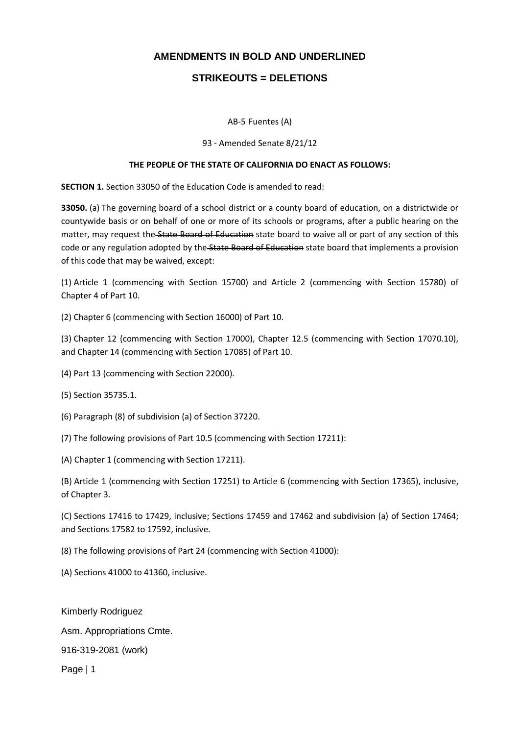### **STRIKEOUTS = DELETIONS**

#### AB-5 Fuentes (A)

#### 93 - Amended Senate 8/21/12

#### **THE PEOPLE OF THE STATE OF CALIFORNIA DO ENACT AS FOLLOWS:**

**SECTION 1.** Section 33050 of the Education Code is amended to read:

**33050.** (a) The governing board of a school district or a county board of education, on a districtwide or countywide basis or on behalf of one or more of its schools or programs, after a public hearing on the matter, may request the State Board of Education state board to waive all or part of any section of this code or any regulation adopted by the State Board of Education state board that implements a provision of this code that may be waived, except:

(1) Article 1 (commencing with Section 15700) and Article 2 (commencing with Section 15780) of Chapter 4 of Part 10.

(2) Chapter 6 (commencing with Section 16000) of Part 10.

(3) Chapter 12 (commencing with Section 17000), Chapter 12.5 (commencing with Section 17070.10), and Chapter 14 (commencing with Section 17085) of Part 10.

(4) Part 13 (commencing with Section 22000).

(5) Section 35735.1.

(6) Paragraph (8) of subdivision (a) of Section 37220.

(7) The following provisions of Part 10.5 (commencing with Section 17211):

(A) Chapter 1 (commencing with Section 17211).

(B) Article 1 (commencing with Section 17251) to Article 6 (commencing with Section 17365), inclusive, of Chapter 3.

(C) Sections 17416 to 17429, inclusive; Sections 17459 and 17462 and subdivision (a) of Section 17464; and Sections 17582 to 17592, inclusive.

(8) The following provisions of Part 24 (commencing with Section 41000):

(A) Sections 41000 to 41360, inclusive.

Kimberly Rodriguez Asm. Appropriations Cmte. 916-319-2081 (work)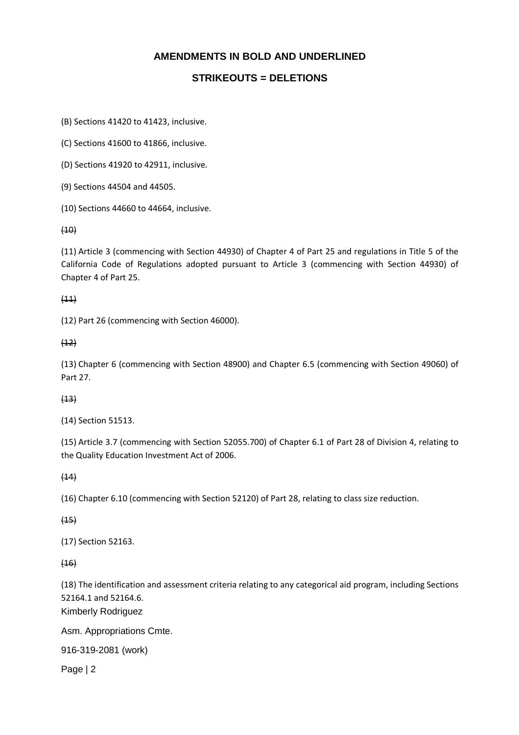# **STRIKEOUTS = DELETIONS**

(B) Sections 41420 to 41423, inclusive.

(C) Sections 41600 to 41866, inclusive.

(D) Sections 41920 to 42911, inclusive.

(9) Sections 44504 and 44505.

(10) Sections 44660 to 44664, inclusive.

 $(10)$ 

(11) Article 3 (commencing with Section 44930) of Chapter 4 of Part 25 and regulations in Title 5 of the California Code of Regulations adopted pursuant to Article 3 (commencing with Section 44930) of Chapter 4 of Part 25.

 $(11)$ 

(12) Part 26 (commencing with Section 46000).

 $(12)$ 

(13) Chapter 6 (commencing with Section 48900) and Chapter 6.5 (commencing with Section 49060) of Part 27.

 $(13)$ 

(14) Section 51513.

(15) Article 3.7 (commencing with Section 52055.700) of Chapter 6.1 of Part 28 of Division 4, relating to the Quality Education Investment Act of 2006.

 $(14)$ 

(16) Chapter 6.10 (commencing with Section 52120) of Part 28, relating to class size reduction.

 $(15)$ 

(17) Section 52163.

 $(16)$ 

(18) The identification and assessment criteria relating to any categorical aid program, including Sections 52164.1 and 52164.6.

Kimberly Rodriguez

Asm. Appropriations Cmte.

916-319-2081 (work)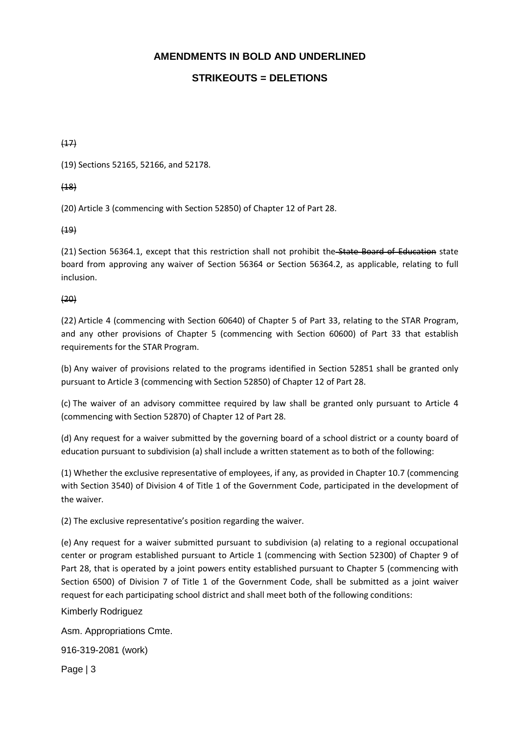# **STRIKEOUTS = DELETIONS**

 $(17)$ 

(19) Sections 52165, 52166, and 52178.

 $(18)$ 

(20) Article 3 (commencing with Section 52850) of Chapter 12 of Part 28.

 $(19)$ 

(21) Section 56364.1, except that this restriction shall not prohibit the State Board of Education state board from approving any waiver of Section 56364 or Section 56364.2, as applicable, relating to full inclusion.

(20)

(22) Article 4 (commencing with Section 60640) of Chapter 5 of Part 33, relating to the STAR Program, and any other provisions of Chapter 5 (commencing with Section 60600) of Part 33 that establish requirements for the STAR Program.

(b) Any waiver of provisions related to the programs identified in Section 52851 shall be granted only pursuant to Article 3 (commencing with Section 52850) of Chapter 12 of Part 28.

(c) The waiver of an advisory committee required by law shall be granted only pursuant to Article 4 (commencing with Section 52870) of Chapter 12 of Part 28.

(d) Any request for a waiver submitted by the governing board of a school district or a county board of education pursuant to subdivision (a) shall include a written statement as to both of the following:

(1) Whether the exclusive representative of employees, if any, as provided in Chapter 10.7 (commencing with Section 3540) of Division 4 of Title 1 of the Government Code, participated in the development of the waiver.

(2) The exclusive representative's position regarding the waiver.

(e) Any request for a waiver submitted pursuant to subdivision (a) relating to a regional occupational center or program established pursuant to Article 1 (commencing with Section 52300) of Chapter 9 of Part 28, that is operated by a joint powers entity established pursuant to Chapter 5 (commencing with Section 6500) of Division 7 of Title 1 of the Government Code, shall be submitted as a joint waiver request for each participating school district and shall meet both of the following conditions:

Kimberly Rodriguez

Asm. Appropriations Cmte.

916-319-2081 (work)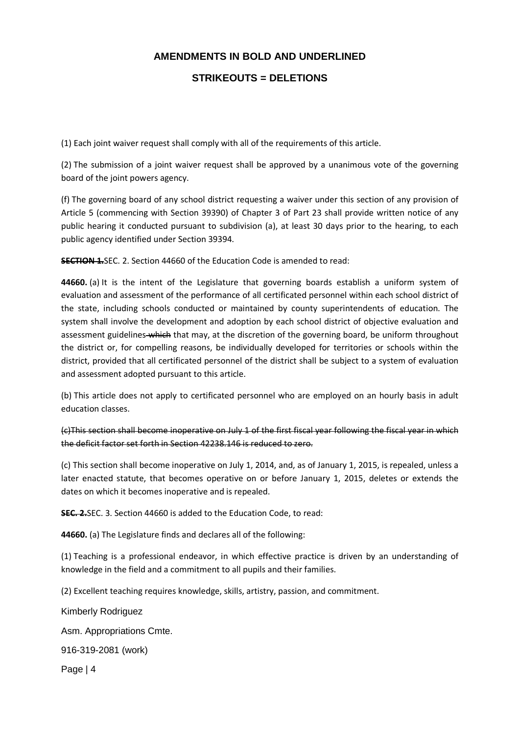### **STRIKEOUTS = DELETIONS**

(1) Each joint waiver request shall comply with all of the requirements of this article.

(2) The submission of a joint waiver request shall be approved by a unanimous vote of the governing board of the joint powers agency.

(f) The governing board of any school district requesting a waiver under this section of any provision of Article 5 (commencing with Section 39390) of Chapter 3 of Part 23 shall provide written notice of any public hearing it conducted pursuant to subdivision (a), at least 30 days prior to the hearing, to each public agency identified under Section 39394.

**SECTION 1.**SEC. 2. Section 44660 of the Education Code is amended to read:

**44660.** (a) It is the intent of the Legislature that governing boards establish a uniform system of evaluation and assessment of the performance of all certificated personnel within each school district of the state, including schools conducted or maintained by county superintendents of education. The system shall involve the development and adoption by each school district of objective evaluation and assessment guidelines which that may, at the discretion of the governing board, be uniform throughout the district or, for compelling reasons, be individually developed for territories or schools within the district, provided that all certificated personnel of the district shall be subject to a system of evaluation and assessment adopted pursuant to this article.

(b) This article does not apply to certificated personnel who are employed on an hourly basis in adult education classes.

(c)This section shall become inoperative on July 1 of the first fiscal year following the fiscal year in which the deficit factor set forth in Section 42238.146 is reduced to zero.

(c) This section shall become inoperative on July 1, 2014, and, as of January 1, 2015, is repealed, unless a later enacted statute, that becomes operative on or before January 1, 2015, deletes or extends the dates on which it becomes inoperative and is repealed.

**SEC. 2.**SEC. 3. Section 44660 is added to the Education Code, to read:

**44660.** (a) The Legislature finds and declares all of the following:

(1) Teaching is a professional endeavor, in which effective practice is driven by an understanding of knowledge in the field and a commitment to all pupils and their families.

(2) Excellent teaching requires knowledge, skills, artistry, passion, and commitment.

Kimberly Rodriguez

Asm. Appropriations Cmte.

916-319-2081 (work)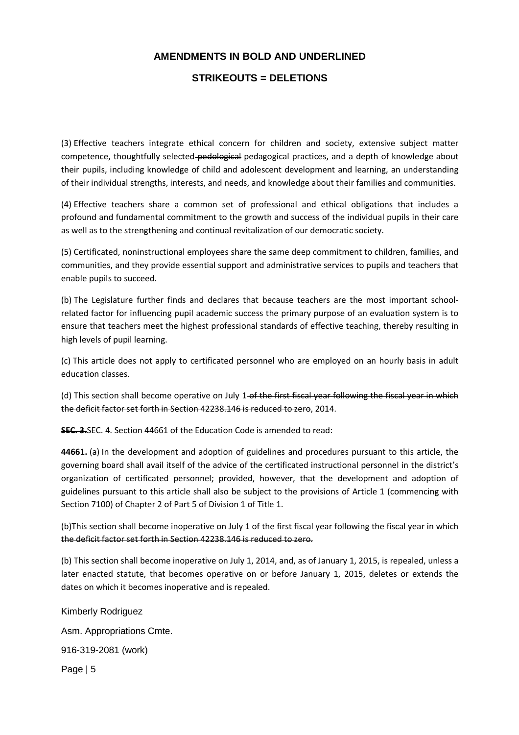### **STRIKEOUTS = DELETIONS**

(3) Effective teachers integrate ethical concern for children and society, extensive subject matter competence, thoughtfully selected-pedological pedagogical practices, and a depth of knowledge about their pupils, including knowledge of child and adolescent development and learning, an understanding of their individual strengths, interests, and needs, and knowledge about their families and communities.

(4) Effective teachers share a common set of professional and ethical obligations that includes a profound and fundamental commitment to the growth and success of the individual pupils in their care as well as to the strengthening and continual revitalization of our democratic society.

(5) Certificated, noninstructional employees share the same deep commitment to children, families, and communities, and they provide essential support and administrative services to pupils and teachers that enable pupils to succeed.

(b) The Legislature further finds and declares that because teachers are the most important schoolrelated factor for influencing pupil academic success the primary purpose of an evaluation system is to ensure that teachers meet the highest professional standards of effective teaching, thereby resulting in high levels of pupil learning.

(c) This article does not apply to certificated personnel who are employed on an hourly basis in adult education classes.

(d) This section shall become operative on July 1-of the first fiscal year following the fiscal year in which the deficit factor set forth in Section 42238.146 is reduced to zero, 2014.

**SEC. 3.**SEC. 4. Section 44661 of the Education Code is amended to read:

**44661.** (a) In the development and adoption of guidelines and procedures pursuant to this article, the governing board shall avail itself of the advice of the certificated instructional personnel in the district's organization of certificated personnel; provided, however, that the development and adoption of guidelines pursuant to this article shall also be subject to the provisions of Article 1 (commencing with Section 7100) of Chapter 2 of Part 5 of Division 1 of Title 1.

(b)This section shall become inoperative on July 1 of the first fiscal year following the fiscal year in which the deficit factor set forth in Section 42238.146 is reduced to zero.

(b) This section shall become inoperative on July 1, 2014, and, as of January 1, 2015, is repealed, unless a later enacted statute, that becomes operative on or before January 1, 2015, deletes or extends the dates on which it becomes inoperative and is repealed.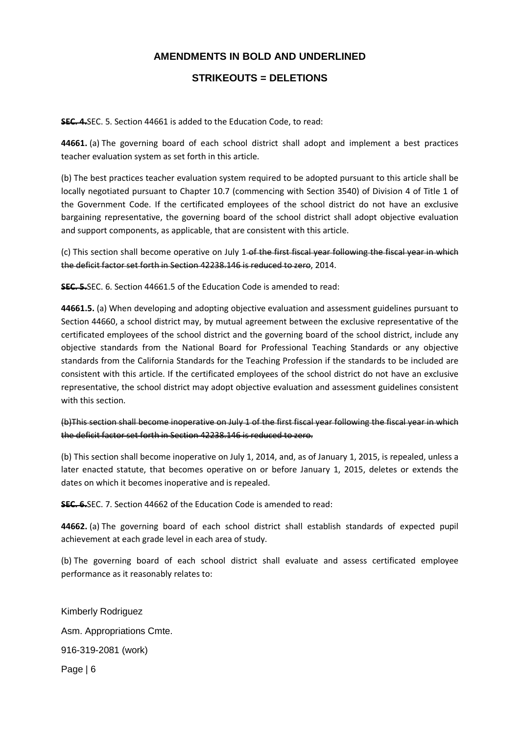## **STRIKEOUTS = DELETIONS**

**SEC. 4.**SEC. 5. Section 44661 is added to the Education Code, to read:

**44661.** (a) The governing board of each school district shall adopt and implement a best practices teacher evaluation system as set forth in this article.

(b) The best practices teacher evaluation system required to be adopted pursuant to this article shall be locally negotiated pursuant to Chapter 10.7 (commencing with Section 3540) of Division 4 of Title 1 of the Government Code. If the certificated employees of the school district do not have an exclusive bargaining representative, the governing board of the school district shall adopt objective evaluation and support components, as applicable, that are consistent with this article.

(c) This section shall become operative on July 1-of the first fiscal year following the fiscal year in which the deficit factor set forth in Section 42238.146 is reduced to zero, 2014.

**SEC. 5.**SEC. 6. Section 44661.5 of the Education Code is amended to read:

**44661.5.** (a) When developing and adopting objective evaluation and assessment guidelines pursuant to Section 44660, a school district may, by mutual agreement between the exclusive representative of the certificated employees of the school district and the governing board of the school district, include any objective standards from the National Board for Professional Teaching Standards or any objective standards from the California Standards for the Teaching Profession if the standards to be included are consistent with this article. If the certificated employees of the school district do not have an exclusive representative, the school district may adopt objective evaluation and assessment guidelines consistent with this section.

(b)This section shall become inoperative on July 1 of the first fiscal year following the fiscal year in which the deficit factor set forth in Section 42238.146 is reduced to zero.

(b) This section shall become inoperative on July 1, 2014, and, as of January 1, 2015, is repealed, unless a later enacted statute, that becomes operative on or before January 1, 2015, deletes or extends the dates on which it becomes inoperative and is repealed.

**SEC. 6.**SEC. 7. Section 44662 of the Education Code is amended to read:

**44662.** (a) The governing board of each school district shall establish standards of expected pupil achievement at each grade level in each area of study.

(b) The governing board of each school district shall evaluate and assess certificated employee performance as it reasonably relates to: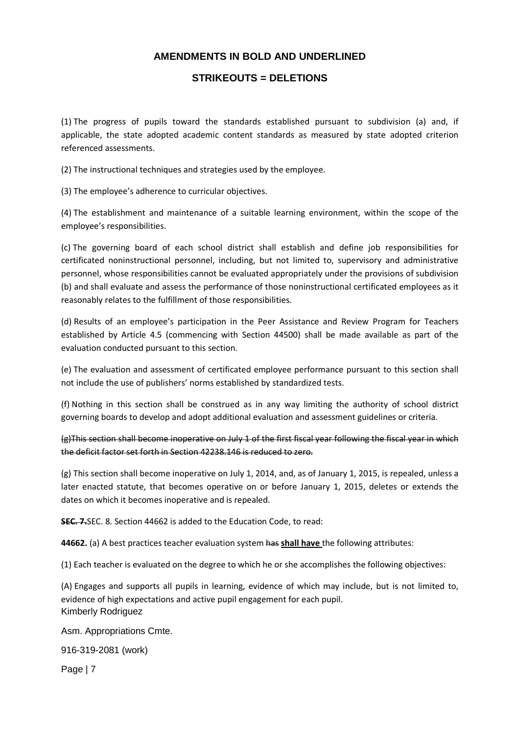### **STRIKEOUTS = DELETIONS**

(1) The progress of pupils toward the standards established pursuant to subdivision (a) and, if applicable, the state adopted academic content standards as measured by state adopted criterion referenced assessments.

(2) The instructional techniques and strategies used by the employee.

(3) The employee's adherence to curricular objectives.

(4) The establishment and maintenance of a suitable learning environment, within the scope of the employee's responsibilities.

(c) The governing board of each school district shall establish and define job responsibilities for certificated noninstructional personnel, including, but not limited to, supervisory and administrative personnel, whose responsibilities cannot be evaluated appropriately under the provisions of subdivision (b) and shall evaluate and assess the performance of those noninstructional certificated employees as it reasonably relates to the fulfillment of those responsibilities.

(d) Results of an employee's participation in the Peer Assistance and Review Program for Teachers established by Article 4.5 (commencing with Section 44500) shall be made available as part of the evaluation conducted pursuant to this section.

(e) The evaluation and assessment of certificated employee performance pursuant to this section shall not include the use of publishers' norms established by standardized tests.

(f) Nothing in this section shall be construed as in any way limiting the authority of school district governing boards to develop and adopt additional evaluation and assessment guidelines or criteria.

(g)This section shall become inoperative on July 1 of the first fiscal year following the fiscal year in which the deficit factor set forth in Section 42238.146 is reduced to zero.

(g) This section shall become inoperative on July 1, 2014, and, as of January 1, 2015, is repealed, unless a later enacted statute, that becomes operative on or before January 1, 2015, deletes or extends the dates on which it becomes inoperative and is repealed.

**SEC. 7.**SEC. 8. Section 44662 is added to the Education Code, to read:

**44662.** (a) A best practices teacher evaluation system has **shall have** the following attributes:

(1) Each teacher is evaluated on the degree to which he or she accomplishes the following objectives:

Kimberly Rodriguez (A) Engages and supports all pupils in learning, evidence of which may include, but is not limited to, evidence of high expectations and active pupil engagement for each pupil.

Asm. Appropriations Cmte.

916-319-2081 (work)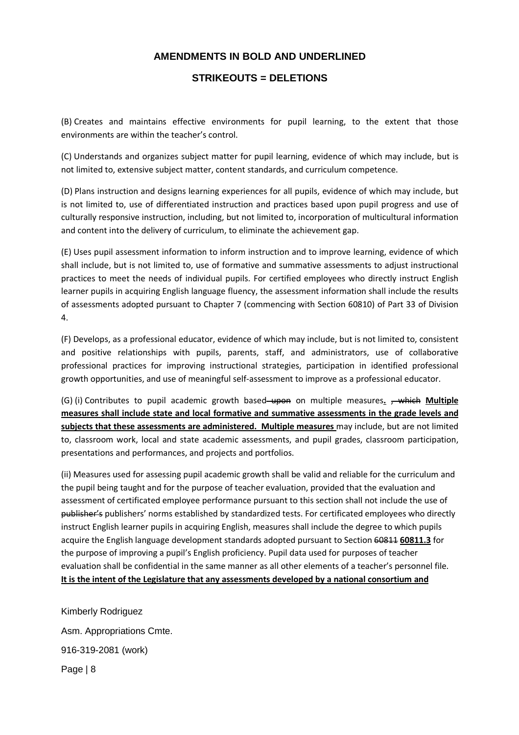#### **STRIKEOUTS = DELETIONS**

(B) Creates and maintains effective environments for pupil learning, to the extent that those environments are within the teacher's control.

(C) Understands and organizes subject matter for pupil learning, evidence of which may include, but is not limited to, extensive subject matter, content standards, and curriculum competence.

(D) Plans instruction and designs learning experiences for all pupils, evidence of which may include, but is not limited to, use of differentiated instruction and practices based upon pupil progress and use of culturally responsive instruction, including, but not limited to, incorporation of multicultural information and content into the delivery of curriculum, to eliminate the achievement gap.

(E) Uses pupil assessment information to inform instruction and to improve learning, evidence of which shall include, but is not limited to, use of formative and summative assessments to adjust instructional practices to meet the needs of individual pupils. For certified employees who directly instruct English learner pupils in acquiring English language fluency, the assessment information shall include the results of assessments adopted pursuant to Chapter 7 (commencing with Section 60810) of Part 33 of Division 4.

(F) Develops, as a professional educator, evidence of which may include, but is not limited to, consistent and positive relationships with pupils, parents, staff, and administrators, use of collaborative professional practices for improving instructional strategies, participation in identified professional growth opportunities, and use of meaningful self-assessment to improve as a professional educator.

(G) (i) Contributes to pupil academic growth based upon on multiple measures**.** , which **Multiple measures shall include state and local formative and summative assessments in the grade levels and subjects that these assessments are administered. Multiple measures** may include, but are not limited to, classroom work, local and state academic assessments, and pupil grades, classroom participation, presentations and performances, and projects and portfolios.

(ii) Measures used for assessing pupil academic growth shall be valid and reliable for the curriculum and the pupil being taught and for the purpose of teacher evaluation, provided that the evaluation and assessment of certificated employee performance pursuant to this section shall not include the use of publisher's publishers' norms established by standardized tests. For certificated employees who directly instruct English learner pupils in acquiring English, measures shall include the degree to which pupils acquire the English language development standards adopted pursuant to Section 60811 **60811.3** for the purpose of improving a pupil's English proficiency. Pupil data used for purposes of teacher evaluation shall be confidential in the same manner as all other elements of a teacher's personnel file. **It is the intent of the Legislature that any assessments developed by a national consortium and**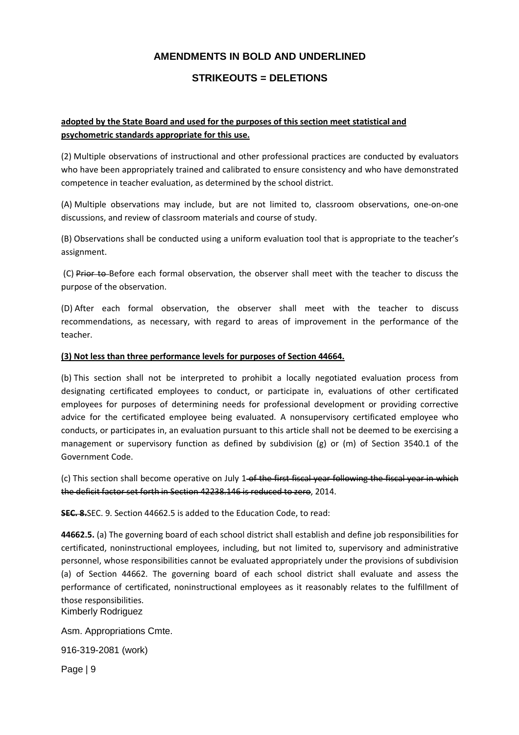## **STRIKEOUTS = DELETIONS**

#### **adopted by the State Board and used for the purposes of this section meet statistical and psychometric standards appropriate for this use.**

(2) Multiple observations of instructional and other professional practices are conducted by evaluators who have been appropriately trained and calibrated to ensure consistency and who have demonstrated competence in teacher evaluation, as determined by the school district.

(A) Multiple observations may include, but are not limited to, classroom observations, one-on-one discussions, and review of classroom materials and course of study.

(B) Observations shall be conducted using a uniform evaluation tool that is appropriate to the teacher's assignment.

(C) Prior to Before each formal observation, the observer shall meet with the teacher to discuss the purpose of the observation.

(D) After each formal observation, the observer shall meet with the teacher to discuss recommendations, as necessary, with regard to areas of improvement in the performance of the teacher.

#### **(3) Not less than three performance levels for purposes of Section 44664.**

(b) This section shall not be interpreted to prohibit a locally negotiated evaluation process from designating certificated employees to conduct, or participate in, evaluations of other certificated employees for purposes of determining needs for professional development or providing corrective advice for the certificated employee being evaluated. A nonsupervisory certificated employee who conducts, or participates in, an evaluation pursuant to this article shall not be deemed to be exercising a management or supervisory function as defined by subdivision (g) or (m) of Section 3540.1 of the Government Code.

(c) This section shall become operative on July 1-of the first fiscal year following the fiscal year in which the deficit factor set forth in Section 42238.146 is reduced to zero, 2014.

**SEC. 8.**SEC. 9. Section 44662.5 is added to the Education Code, to read:

**44662.5.** (a) The governing board of each school district shall establish and define job responsibilities for certificated, noninstructional employees, including, but not limited to, supervisory and administrative personnel, whose responsibilities cannot be evaluated appropriately under the provisions of subdivision (a) of Section 44662. The governing board of each school district shall evaluate and assess the performance of certificated, noninstructional employees as it reasonably relates to the fulfillment of those responsibilities.

Kimberly Rodriguez

Asm. Appropriations Cmte.

916-319-2081 (work)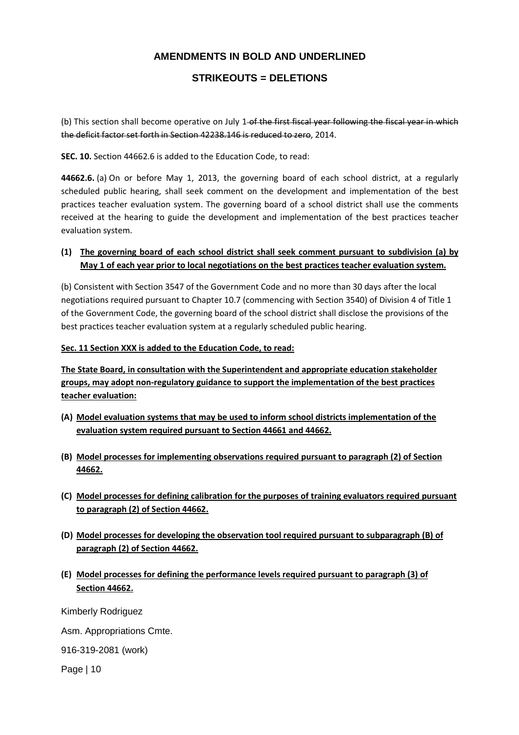# **STRIKEOUTS = DELETIONS**

(b) This section shall become operative on July 1-of the first fiscal year following the fiscal year in which the deficit factor set forth in Section 42238.146 is reduced to zero, 2014.

**SEC. 10.** Section 44662.6 is added to the Education Code, to read:

**44662.6.** (a) On or before May 1, 2013, the governing board of each school district, at a regularly scheduled public hearing, shall seek comment on the development and implementation of the best practices teacher evaluation system. The governing board of a school district shall use the comments received at the hearing to guide the development and implementation of the best practices teacher evaluation system.

### **(1) The governing board of each school district shall seek comment pursuant to subdivision (a) by May 1 of each year prior to local negotiations on the best practices teacher evaluation system.**

(b) Consistent with Section 3547 of the Government Code and no more than 30 days after the local negotiations required pursuant to Chapter 10.7 (commencing with Section 3540) of Division 4 of Title 1 of the Government Code, the governing board of the school district shall disclose the provisions of the best practices teacher evaluation system at a regularly scheduled public hearing.

#### **Sec. 11 Section XXX is added to the Education Code, to read:**

**The State Board, in consultation with the Superintendent and appropriate education stakeholder groups, may adopt non-regulatory guidance to support the implementation of the best practices teacher evaluation:** 

- **(A) Model evaluation systems that may be used to inform school districts implementation of the evaluation system required pursuant to Section 44661 and 44662.**
- **(B) Model processes for implementing observations required pursuant to paragraph (2) of Section 44662.**
- **(C) Model processes for defining calibration for the purposes of training evaluators required pursuant to paragraph (2) of Section 44662.**
- **(D) Model processes for developing the observation tool required pursuant to subparagraph (B) of paragraph (2) of Section 44662.**
- **(E) Model processes for defining the performance levels required pursuant to paragraph (3) of Section 44662.**

Kimberly Rodriguez

Asm. Appropriations Cmte.

916-319-2081 (work)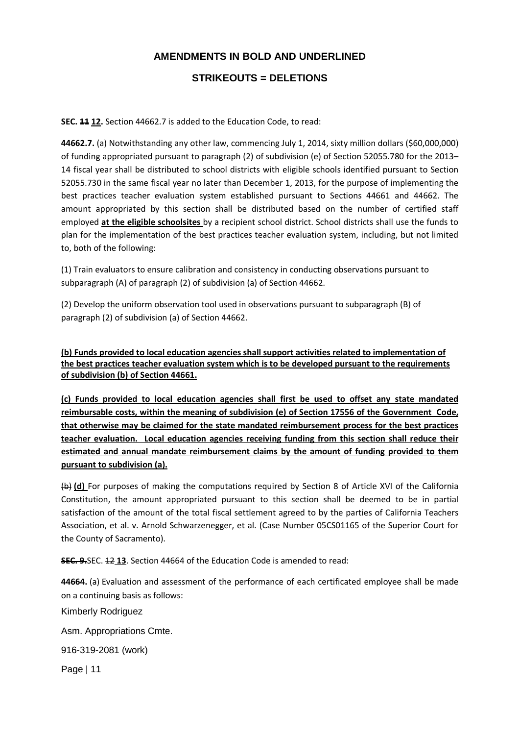# **STRIKEOUTS = DELETIONS**

**SEC. 44 12.** Section 44662.7 is added to the Education Code, to read:

**44662.7.** (a) Notwithstanding any other law, commencing July 1, 2014, sixty million dollars (\$60,000,000) of funding appropriated pursuant to paragraph (2) of subdivision (e) of Section 52055.780 for the 2013– 14 fiscal year shall be distributed to school districts with eligible schools identified pursuant to Section 52055.730 in the same fiscal year no later than December 1, 2013, for the purpose of implementing the best practices teacher evaluation system established pursuant to Sections 44661 and 44662. The amount appropriated by this section shall be distributed based on the number of certified staff employed **at the eligible schoolsites** by a recipient school district. School districts shall use the funds to plan for the implementation of the best practices teacher evaluation system, including, but not limited to, both of the following:

(1) Train evaluators to ensure calibration and consistency in conducting observations pursuant to subparagraph (A) of paragraph (2) of subdivision (a) of Section 44662.

(2) Develop the uniform observation tool used in observations pursuant to subparagraph (B) of paragraph (2) of subdivision (a) of Section 44662.

**(b) Funds provided to local education agencies shall support activities related to implementation of the best practices teacher evaluation system which is to be developed pursuant to the requirements of subdivision (b) of Section 44661.** 

**(c) Funds provided to local education agencies shall first be used to offset any state mandated reimbursable costs, within the meaning of subdivision (e) of Section 17556 of the Government Code, that otherwise may be claimed for the state mandated reimbursement process for the best practices teacher evaluation. Local education agencies receiving funding from this section shall reduce their estimated and annual mandate reimbursement claims by the amount of funding provided to them pursuant to subdivision (a).** 

(b) **(d)** For purposes of making the computations required by Section 8 of Article XVI of the California Constitution, the amount appropriated pursuant to this section shall be deemed to be in partial satisfaction of the amount of the total fiscal settlement agreed to by the parties of California Teachers Association, et al. v. Arnold Schwarzenegger, et al. (Case Number 05CS01165 of the Superior Court for the County of Sacramento).

**SEC. 9.**SEC. 12 **13**. Section 44664 of the Education Code is amended to read:

**44664.** (a) Evaluation and assessment of the performance of each certificated employee shall be made on a continuing basis as follows:

Kimberly Rodriguez

Asm. Appropriations Cmte.

916-319-2081 (work)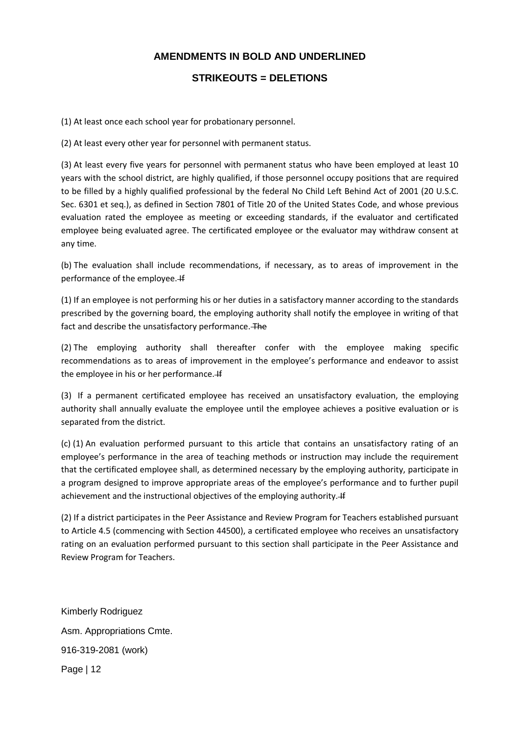### **STRIKEOUTS = DELETIONS**

(1) At least once each school year for probationary personnel.

(2) At least every other year for personnel with permanent status.

(3) At least every five years for personnel with permanent status who have been employed at least 10 years with the school district, are highly qualified, if those personnel occupy positions that are required to be filled by a highly qualified professional by the federal No Child Left Behind Act of 2001 (20 U.S.C. Sec. 6301 et seq.), as defined in Section 7801 of Title 20 of the United States Code, and whose previous evaluation rated the employee as meeting or exceeding standards, if the evaluator and certificated employee being evaluated agree. The certificated employee or the evaluator may withdraw consent at any time.

(b) The evaluation shall include recommendations, if necessary, as to areas of improvement in the performance of the employee. If

(1) If an employee is not performing his or her duties in a satisfactory manner according to the standards prescribed by the governing board, the employing authority shall notify the employee in writing of that fact and describe the unsatisfactory performance. The

(2) The employing authority shall thereafter confer with the employee making specific recommendations as to areas of improvement in the employee's performance and endeavor to assist the employee in his or her performance. H

(3) If a permanent certificated employee has received an unsatisfactory evaluation, the employing authority shall annually evaluate the employee until the employee achieves a positive evaluation or is separated from the district.

(c) (1) An evaluation performed pursuant to this article that contains an unsatisfactory rating of an employee's performance in the area of teaching methods or instruction may include the requirement that the certificated employee shall, as determined necessary by the employing authority, participate in a program designed to improve appropriate areas of the employee's performance and to further pupil achievement and the instructional objectives of the employing authority. HE

(2) If a district participates in the Peer Assistance and Review Program for Teachers established pursuant to Article 4.5 (commencing with Section 44500), a certificated employee who receives an unsatisfactory rating on an evaluation performed pursuant to this section shall participate in the Peer Assistance and Review Program for Teachers.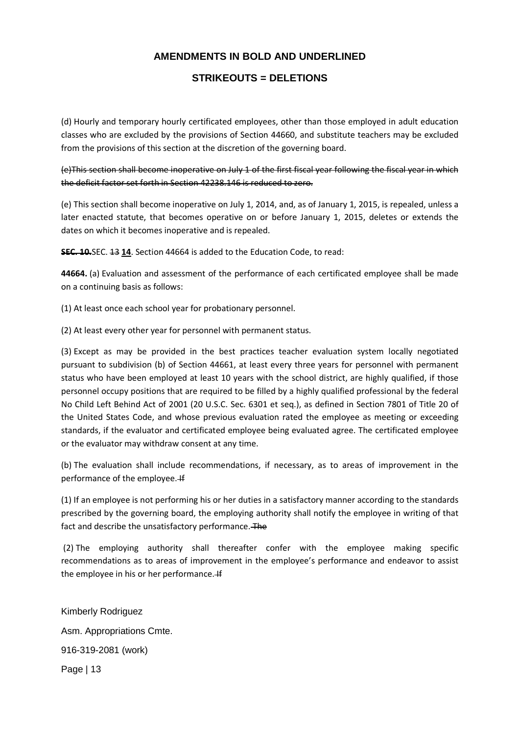### **STRIKEOUTS = DELETIONS**

(d) Hourly and temporary hourly certificated employees, other than those employed in adult education classes who are excluded by the provisions of Section 44660, and substitute teachers may be excluded from the provisions of this section at the discretion of the governing board.

(e)This section shall become inoperative on July 1 of the first fiscal year following the fiscal year in which the deficit factor set forth in Section 42238.146 is reduced to zero.

(e) This section shall become inoperative on July 1, 2014, and, as of January 1, 2015, is repealed, unless a later enacted statute, that becomes operative on or before January 1, 2015, deletes or extends the dates on which it becomes inoperative and is repealed.

**SEC. 10.**SEC. 13 **14**. Section 44664 is added to the Education Code, to read:

**44664.** (a) Evaluation and assessment of the performance of each certificated employee shall be made on a continuing basis as follows:

(1) At least once each school year for probationary personnel.

(2) At least every other year for personnel with permanent status.

(3) Except as may be provided in the best practices teacher evaluation system locally negotiated pursuant to subdivision (b) of Section 44661, at least every three years for personnel with permanent status who have been employed at least 10 years with the school district, are highly qualified, if those personnel occupy positions that are required to be filled by a highly qualified professional by the federal No Child Left Behind Act of 2001 (20 U.S.C. Sec. 6301 et seq.), as defined in Section 7801 of Title 20 of the United States Code, and whose previous evaluation rated the employee as meeting or exceeding standards, if the evaluator and certificated employee being evaluated agree. The certificated employee or the evaluator may withdraw consent at any time.

(b) The evaluation shall include recommendations, if necessary, as to areas of improvement in the performance of the employee. If

(1) If an employee is not performing his or her duties in a satisfactory manner according to the standards prescribed by the governing board, the employing authority shall notify the employee in writing of that fact and describe the unsatisfactory performance. The

 (2) The employing authority shall thereafter confer with the employee making specific recommendations as to areas of improvement in the employee's performance and endeavor to assist the employee in his or her performance. If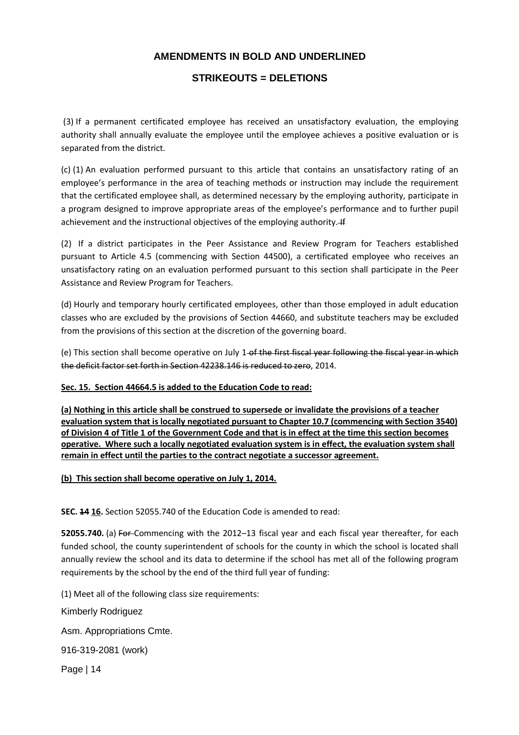# **STRIKEOUTS = DELETIONS**

 (3) If a permanent certificated employee has received an unsatisfactory evaluation, the employing authority shall annually evaluate the employee until the employee achieves a positive evaluation or is separated from the district.

(c) (1) An evaluation performed pursuant to this article that contains an unsatisfactory rating of an employee's performance in the area of teaching methods or instruction may include the requirement that the certificated employee shall, as determined necessary by the employing authority, participate in a program designed to improve appropriate areas of the employee's performance and to further pupil achievement and the instructional objectives of the employing authority. HE

(2) If a district participates in the Peer Assistance and Review Program for Teachers established pursuant to Article 4.5 (commencing with Section 44500), a certificated employee who receives an unsatisfactory rating on an evaluation performed pursuant to this section shall participate in the Peer Assistance and Review Program for Teachers.

(d) Hourly and temporary hourly certificated employees, other than those employed in adult education classes who are excluded by the provisions of Section 44660, and substitute teachers may be excluded from the provisions of this section at the discretion of the governing board.

(e) This section shall become operative on July 1 of the first fiscal year following the fiscal year in which the deficit factor set forth in Section 42238.146 is reduced to zero, 2014.

#### **Sec. 15. Section 44664.5 is added to the Education Code to read:**

**(a) Nothing in this article shall be construed to supersede or invalidate the provisions of a teacher evaluation system that is locally negotiated pursuant to Chapter 10.7 (commencing with Section 3540) of Division 4 of Title 1 of the Government Code and that is in effect at the time this section becomes operative. Where such a locally negotiated evaluation system is in effect, the evaluation system shall remain in effect until the parties to the contract negotiate a successor agreement.** 

#### **(b) This section shall become operative on July 1, 2014.**

**SEC. 14 16.** Section 52055.740 of the Education Code is amended to read:

**52055.740.** (a) For Commencing with the 2012–13 fiscal year and each fiscal year thereafter, for each funded school, the county superintendent of schools for the county in which the school is located shall annually review the school and its data to determine if the school has met all of the following program requirements by the school by the end of the third full year of funding:

(1) Meet all of the following class size requirements:

Kimberly Rodriguez

Asm. Appropriations Cmte.

916-319-2081 (work)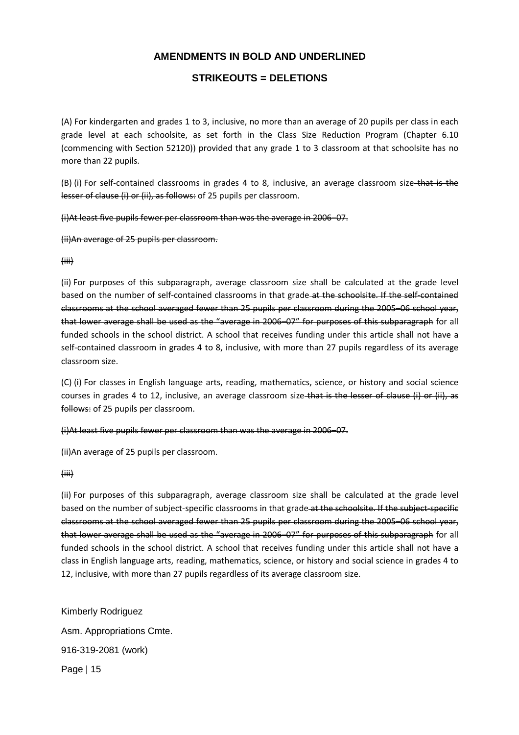### **STRIKEOUTS = DELETIONS**

(A) For kindergarten and grades 1 to 3, inclusive, no more than an average of 20 pupils per class in each grade level at each schoolsite, as set forth in the Class Size Reduction Program (Chapter 6.10 (commencing with Section 52120)) provided that any grade 1 to 3 classroom at that schoolsite has no more than 22 pupils.

(B) (i) For self-contained classrooms in grades 4 to 8, inclusive, an average classroom size-that is the lesser of clause (i) or (ii), as follows: of 25 pupils per classroom.

(i)At least five pupils fewer per classroom than was the average in 2006–07.

#### (ii)An average of 25 pupils per classroom.

(iii)

(ii) For purposes of this subparagraph, average classroom size shall be calculated at the grade level based on the number of self-contained classrooms in that grade at the schoolsite. If the self-contained classrooms at the school averaged fewer than 25 pupils per classroom during the 2005–06 school year, that lower average shall be used as the "average in 2006–07" for purposes of this subparagraph for all funded schools in the school district. A school that receives funding under this article shall not have a self-contained classroom in grades 4 to 8, inclusive, with more than 27 pupils regardless of its average classroom size.

(C) (i) For classes in English language arts, reading, mathematics, science, or history and social science courses in grades 4 to 12, inclusive, an average classroom size that is the lesser of clause (i) or (ii), as follows: of 25 pupils per classroom.

(i)At least five pupils fewer per classroom than was the average in 2006–07.

(ii)An average of 25 pupils per classroom.

(iii)

(ii) For purposes of this subparagraph, average classroom size shall be calculated at the grade level based on the number of subject-specific classrooms in that grade at the schoolsite. If the subject-specific classrooms at the school averaged fewer than 25 pupils per classroom during the 2005–06 school year, that lower average shall be used as the "average in 2006–07" for purposes of this subparagraph for all funded schools in the school district. A school that receives funding under this article shall not have a class in English language arts, reading, mathematics, science, or history and social science in grades 4 to 12, inclusive, with more than 27 pupils regardless of its average classroom size.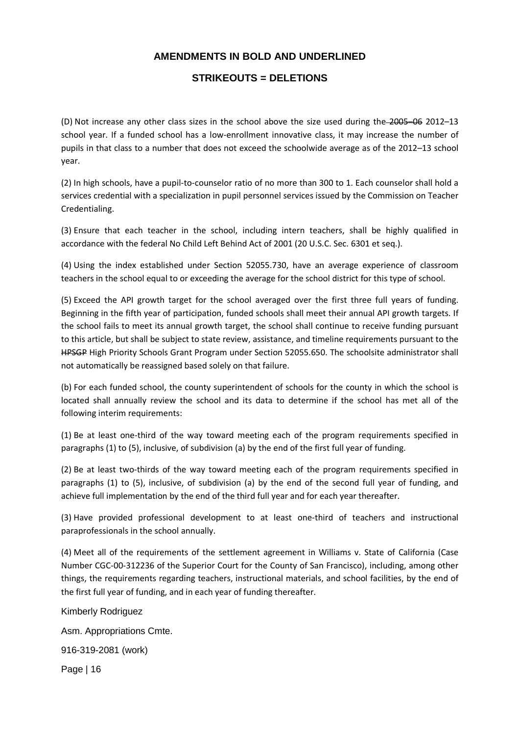#### **STRIKEOUTS = DELETIONS**

(D) Not increase any other class sizes in the school above the size used during the 2005–06 2012–13 school year. If a funded school has a low-enrollment innovative class, it may increase the number of pupils in that class to a number that does not exceed the schoolwide average as of the 2012–13 school year.

(2) In high schools, have a pupil-to-counselor ratio of no more than 300 to 1. Each counselor shall hold a services credential with a specialization in pupil personnel services issued by the Commission on Teacher Credentialing.

(3) Ensure that each teacher in the school, including intern teachers, shall be highly qualified in accordance with the federal No Child Left Behind Act of 2001 (20 U.S.C. Sec. 6301 et seq.).

(4) Using the index established under Section 52055.730, have an average experience of classroom teachers in the school equal to or exceeding the average for the school district for this type of school.

(5) Exceed the API growth target for the school averaged over the first three full years of funding. Beginning in the fifth year of participation, funded schools shall meet their annual API growth targets. If the school fails to meet its annual growth target, the school shall continue to receive funding pursuant to this article, but shall be subject to state review, assistance, and timeline requirements pursuant to the HPSGP High Priority Schools Grant Program under Section 52055.650. The schoolsite administrator shall not automatically be reassigned based solely on that failure.

(b) For each funded school, the county superintendent of schools for the county in which the school is located shall annually review the school and its data to determine if the school has met all of the following interim requirements:

(1) Be at least one-third of the way toward meeting each of the program requirements specified in paragraphs (1) to (5), inclusive, of subdivision (a) by the end of the first full year of funding.

(2) Be at least two-thirds of the way toward meeting each of the program requirements specified in paragraphs (1) to (5), inclusive, of subdivision (a) by the end of the second full year of funding, and achieve full implementation by the end of the third full year and for each year thereafter.

(3) Have provided professional development to at least one-third of teachers and instructional paraprofessionals in the school annually.

(4) Meet all of the requirements of the settlement agreement in Williams v. State of California (Case Number CGC-00-312236 of the Superior Court for the County of San Francisco), including, among other things, the requirements regarding teachers, instructional materials, and school facilities, by the end of the first full year of funding, and in each year of funding thereafter.

Kimberly Rodriguez Asm. Appropriations Cmte. 916-319-2081 (work)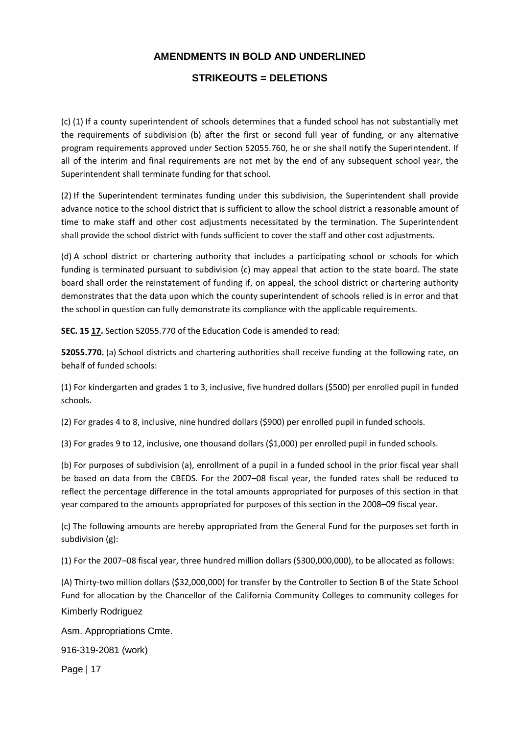### **STRIKEOUTS = DELETIONS**

(c) (1) If a county superintendent of schools determines that a funded school has not substantially met the requirements of subdivision (b) after the first or second full year of funding, or any alternative program requirements approved under Section 52055.760, he or she shall notify the Superintendent. If all of the interim and final requirements are not met by the end of any subsequent school year, the Superintendent shall terminate funding for that school.

(2) If the Superintendent terminates funding under this subdivision, the Superintendent shall provide advance notice to the school district that is sufficient to allow the school district a reasonable amount of time to make staff and other cost adjustments necessitated by the termination. The Superintendent shall provide the school district with funds sufficient to cover the staff and other cost adjustments.

(d) A school district or chartering authority that includes a participating school or schools for which funding is terminated pursuant to subdivision (c) may appeal that action to the state board. The state board shall order the reinstatement of funding if, on appeal, the school district or chartering authority demonstrates that the data upon which the county superintendent of schools relied is in error and that the school in question can fully demonstrate its compliance with the applicable requirements.

**SEC. 15 17.** Section 52055.770 of the Education Code is amended to read:

**52055.770.** (a) School districts and chartering authorities shall receive funding at the following rate, on behalf of funded schools:

(1) For kindergarten and grades 1 to 3, inclusive, five hundred dollars (\$500) per enrolled pupil in funded schools.

(2) For grades 4 to 8, inclusive, nine hundred dollars (\$900) per enrolled pupil in funded schools.

(3) For grades 9 to 12, inclusive, one thousand dollars (\$1,000) per enrolled pupil in funded schools.

(b) For purposes of subdivision (a), enrollment of a pupil in a funded school in the prior fiscal year shall be based on data from the CBEDS. For the 2007–08 fiscal year, the funded rates shall be reduced to reflect the percentage difference in the total amounts appropriated for purposes of this section in that year compared to the amounts appropriated for purposes of this section in the 2008–09 fiscal year.

(c) The following amounts are hereby appropriated from the General Fund for the purposes set forth in subdivision (g):

(1) For the 2007–08 fiscal year, three hundred million dollars (\$300,000,000), to be allocated as follows:

Kimberly Rodriguez (A) Thirty-two million dollars (\$32,000,000) for transfer by the Controller to Section B of the State School Fund for allocation by the Chancellor of the California Community Colleges to community colleges for

Asm. Appropriations Cmte. 916-319-2081 (work)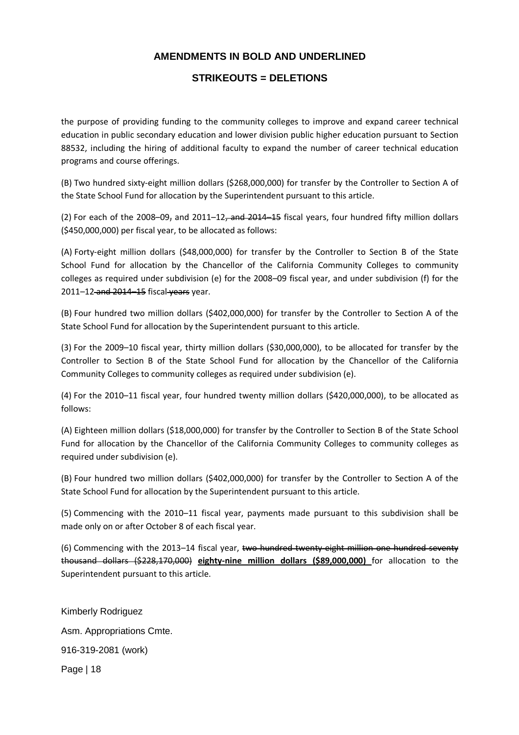#### **STRIKEOUTS = DELETIONS**

the purpose of providing funding to the community colleges to improve and expand career technical education in public secondary education and lower division public higher education pursuant to Section 88532, including the hiring of additional faculty to expand the number of career technical education programs and course offerings.

(B) Two hundred sixty-eight million dollars (\$268,000,000) for transfer by the Controller to Section A of the State School Fund for allocation by the Superintendent pursuant to this article.

(2) For each of the 2008–09, and 2011–12, and 2014–15 fiscal years, four hundred fifty million dollars (\$450,000,000) per fiscal year, to be allocated as follows:

(A) Forty-eight million dollars (\$48,000,000) for transfer by the Controller to Section B of the State School Fund for allocation by the Chancellor of the California Community Colleges to community colleges as required under subdivision (e) for the 2008–09 fiscal year, and under subdivision (f) for the 2011–12 and 2014–15 fiscal years year.

(B) Four hundred two million dollars (\$402,000,000) for transfer by the Controller to Section A of the State School Fund for allocation by the Superintendent pursuant to this article.

(3) For the 2009–10 fiscal year, thirty million dollars (\$30,000,000), to be allocated for transfer by the Controller to Section B of the State School Fund for allocation by the Chancellor of the California Community Colleges to community colleges as required under subdivision (e).

(4) For the 2010–11 fiscal year, four hundred twenty million dollars (\$420,000,000), to be allocated as follows:

(A) Eighteen million dollars (\$18,000,000) for transfer by the Controller to Section B of the State School Fund for allocation by the Chancellor of the California Community Colleges to community colleges as required under subdivision (e).

(B) Four hundred two million dollars (\$402,000,000) for transfer by the Controller to Section A of the State School Fund for allocation by the Superintendent pursuant to this article.

(5) Commencing with the 2010–11 fiscal year, payments made pursuant to this subdivision shall be made only on or after October 8 of each fiscal year.

(6) Commencing with the 2013–14 fiscal year, two hundred twenty-eight million one hundred seventy thousand dollars (\$228,170,000) **eighty-nine million dollars (\$89,000,000)** for allocation to the Superintendent pursuant to this article.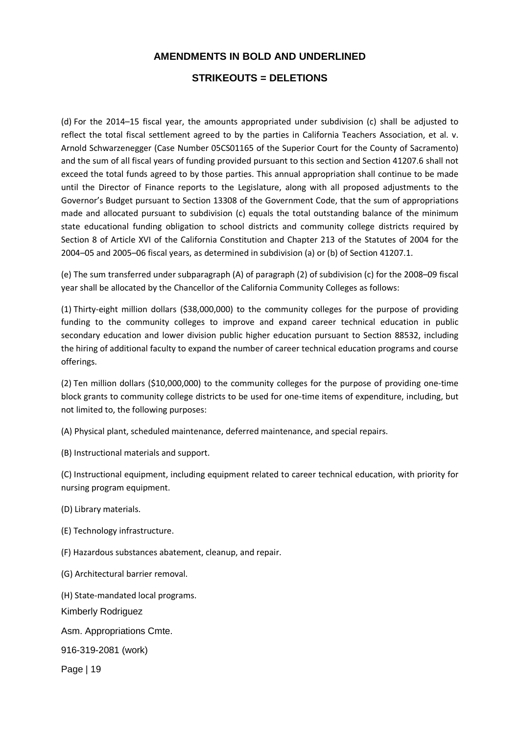#### **STRIKEOUTS = DELETIONS**

(d) For the 2014–15 fiscal year, the amounts appropriated under subdivision (c) shall be adjusted to reflect the total fiscal settlement agreed to by the parties in California Teachers Association, et al. v. Arnold Schwarzenegger (Case Number 05CS01165 of the Superior Court for the County of Sacramento) and the sum of all fiscal years of funding provided pursuant to this section and Section 41207.6 shall not exceed the total funds agreed to by those parties. This annual appropriation shall continue to be made until the Director of Finance reports to the Legislature, along with all proposed adjustments to the Governor's Budget pursuant to Section 13308 of the Government Code, that the sum of appropriations made and allocated pursuant to subdivision (c) equals the total outstanding balance of the minimum state educational funding obligation to school districts and community college districts required by Section 8 of Article XVI of the California Constitution and Chapter 213 of the Statutes of 2004 for the 2004–05 and 2005–06 fiscal years, as determined in subdivision (a) or (b) of Section 41207.1.

(e) The sum transferred under subparagraph (A) of paragraph (2) of subdivision (c) for the 2008–09 fiscal year shall be allocated by the Chancellor of the California Community Colleges as follows:

(1) Thirty-eight million dollars (\$38,000,000) to the community colleges for the purpose of providing funding to the community colleges to improve and expand career technical education in public secondary education and lower division public higher education pursuant to Section 88532, including the hiring of additional faculty to expand the number of career technical education programs and course offerings.

(2) Ten million dollars (\$10,000,000) to the community colleges for the purpose of providing one-time block grants to community college districts to be used for one-time items of expenditure, including, but not limited to, the following purposes:

(A) Physical plant, scheduled maintenance, deferred maintenance, and special repairs.

(B) Instructional materials and support.

(C) Instructional equipment, including equipment related to career technical education, with priority for nursing program equipment.

(D) Library materials.

(E) Technology infrastructure.

(F) Hazardous substances abatement, cleanup, and repair.

(G) Architectural barrier removal.

(H) State-mandated local programs.

Kimberly Rodriguez

Asm. Appropriations Cmte.

916-319-2081 (work)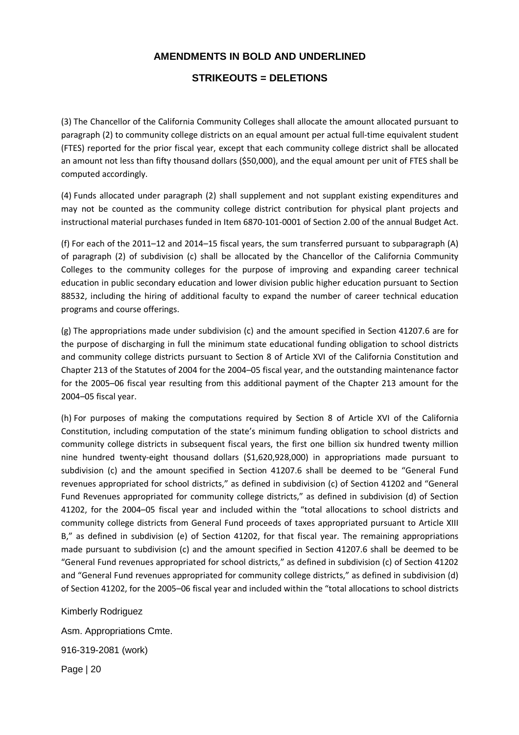#### **STRIKEOUTS = DELETIONS**

(3) The Chancellor of the California Community Colleges shall allocate the amount allocated pursuant to paragraph (2) to community college districts on an equal amount per actual full-time equivalent student (FTES) reported for the prior fiscal year, except that each community college district shall be allocated an amount not less than fifty thousand dollars (\$50,000), and the equal amount per unit of FTES shall be computed accordingly.

(4) Funds allocated under paragraph (2) shall supplement and not supplant existing expenditures and may not be counted as the community college district contribution for physical plant projects and instructional material purchases funded in Item 6870-101-0001 of Section 2.00 of the annual Budget Act.

(f) For each of the 2011–12 and 2014–15 fiscal years, the sum transferred pursuant to subparagraph (A) of paragraph (2) of subdivision (c) shall be allocated by the Chancellor of the California Community Colleges to the community colleges for the purpose of improving and expanding career technical education in public secondary education and lower division public higher education pursuant to Section 88532, including the hiring of additional faculty to expand the number of career technical education programs and course offerings.

(g) The appropriations made under subdivision (c) and the amount specified in Section 41207.6 are for the purpose of discharging in full the minimum state educational funding obligation to school districts and community college districts pursuant to Section 8 of Article XVI of the California Constitution and Chapter 213 of the Statutes of 2004 for the 2004–05 fiscal year, and the outstanding maintenance factor for the 2005–06 fiscal year resulting from this additional payment of the Chapter 213 amount for the 2004–05 fiscal year.

(h) For purposes of making the computations required by Section 8 of Article XVI of the California Constitution, including computation of the state's minimum funding obligation to school districts and community college districts in subsequent fiscal years, the first one billion six hundred twenty million nine hundred twenty-eight thousand dollars (\$1,620,928,000) in appropriations made pursuant to subdivision (c) and the amount specified in Section 41207.6 shall be deemed to be "General Fund revenues appropriated for school districts," as defined in subdivision (c) of Section 41202 and "General Fund Revenues appropriated for community college districts," as defined in subdivision (d) of Section 41202, for the 2004–05 fiscal year and included within the "total allocations to school districts and community college districts from General Fund proceeds of taxes appropriated pursuant to Article XIII B," as defined in subdivision (e) of Section 41202, for that fiscal year. The remaining appropriations made pursuant to subdivision (c) and the amount specified in Section 41207.6 shall be deemed to be "General Fund revenues appropriated for school districts," as defined in subdivision (c) of Section 41202 and "General Fund revenues appropriated for community college districts," as defined in subdivision (d) of Section 41202, for the 2005–06 fiscal year and included within the "total allocations to school districts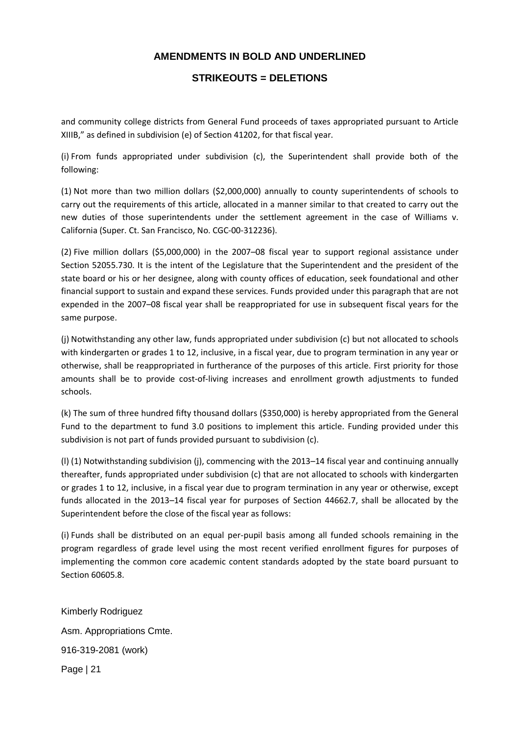### **STRIKEOUTS = DELETIONS**

and community college districts from General Fund proceeds of taxes appropriated pursuant to Article XIIIB," as defined in subdivision (e) of Section 41202, for that fiscal year.

(i) From funds appropriated under subdivision (c), the Superintendent shall provide both of the following:

(1) Not more than two million dollars (\$2,000,000) annually to county superintendents of schools to carry out the requirements of this article, allocated in a manner similar to that created to carry out the new duties of those superintendents under the settlement agreement in the case of Williams v. California (Super. Ct. San Francisco, No. CGC-00-312236).

(2) Five million dollars (\$5,000,000) in the 2007–08 fiscal year to support regional assistance under Section 52055.730. It is the intent of the Legislature that the Superintendent and the president of the state board or his or her designee, along with county offices of education, seek foundational and other financial support to sustain and expand these services. Funds provided under this paragraph that are not expended in the 2007–08 fiscal year shall be reappropriated for use in subsequent fiscal years for the same purpose.

(j) Notwithstanding any other law, funds appropriated under subdivision (c) but not allocated to schools with kindergarten or grades 1 to 12, inclusive, in a fiscal year, due to program termination in any year or otherwise, shall be reappropriated in furtherance of the purposes of this article. First priority for those amounts shall be to provide cost-of-living increases and enrollment growth adjustments to funded schools.

(k) The sum of three hundred fifty thousand dollars (\$350,000) is hereby appropriated from the General Fund to the department to fund 3.0 positions to implement this article. Funding provided under this subdivision is not part of funds provided pursuant to subdivision (c).

(l) (1) Notwithstanding subdivision (j), commencing with the 2013–14 fiscal year and continuing annually thereafter, funds appropriated under subdivision (c) that are not allocated to schools with kindergarten or grades 1 to 12, inclusive, in a fiscal year due to program termination in any year or otherwise, except funds allocated in the 2013–14 fiscal year for purposes of Section 44662.7, shall be allocated by the Superintendent before the close of the fiscal year as follows:

(i) Funds shall be distributed on an equal per-pupil basis among all funded schools remaining in the program regardless of grade level using the most recent verified enrollment figures for purposes of implementing the common core academic content standards adopted by the state board pursuant to Section 60605.8.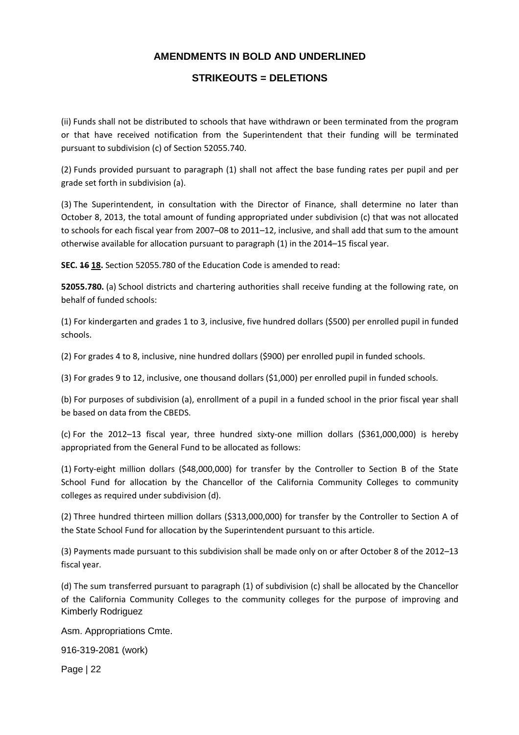### **STRIKEOUTS = DELETIONS**

(ii) Funds shall not be distributed to schools that have withdrawn or been terminated from the program or that have received notification from the Superintendent that their funding will be terminated pursuant to subdivision (c) of Section 52055.740.

(2) Funds provided pursuant to paragraph (1) shall not affect the base funding rates per pupil and per grade set forth in subdivision (a).

(3) The Superintendent, in consultation with the Director of Finance, shall determine no later than October 8, 2013, the total amount of funding appropriated under subdivision (c) that was not allocated to schools for each fiscal year from 2007–08 to 2011–12, inclusive, and shall add that sum to the amount otherwise available for allocation pursuant to paragraph (1) in the 2014–15 fiscal year.

**SEC. 16 18.** Section 52055.780 of the Education Code is amended to read:

**52055.780.** (a) School districts and chartering authorities shall receive funding at the following rate, on behalf of funded schools:

(1) For kindergarten and grades 1 to 3, inclusive, five hundred dollars (\$500) per enrolled pupil in funded schools.

(2) For grades 4 to 8, inclusive, nine hundred dollars (\$900) per enrolled pupil in funded schools.

(3) For grades 9 to 12, inclusive, one thousand dollars (\$1,000) per enrolled pupil in funded schools.

(b) For purposes of subdivision (a), enrollment of a pupil in a funded school in the prior fiscal year shall be based on data from the CBEDS.

(c) For the 2012–13 fiscal year, three hundred sixty-one million dollars (\$361,000,000) is hereby appropriated from the General Fund to be allocated as follows:

(1) Forty-eight million dollars (\$48,000,000) for transfer by the Controller to Section B of the State School Fund for allocation by the Chancellor of the California Community Colleges to community colleges as required under subdivision (d).

(2) Three hundred thirteen million dollars (\$313,000,000) for transfer by the Controller to Section A of the State School Fund for allocation by the Superintendent pursuant to this article.

(3) Payments made pursuant to this subdivision shall be made only on or after October 8 of the 2012–13 fiscal year.

Kimberly Rodriguez (d) The sum transferred pursuant to paragraph (1) of subdivision (c) shall be allocated by the Chancellor of the California Community Colleges to the community colleges for the purpose of improving and

Asm. Appropriations Cmte.

916-319-2081 (work)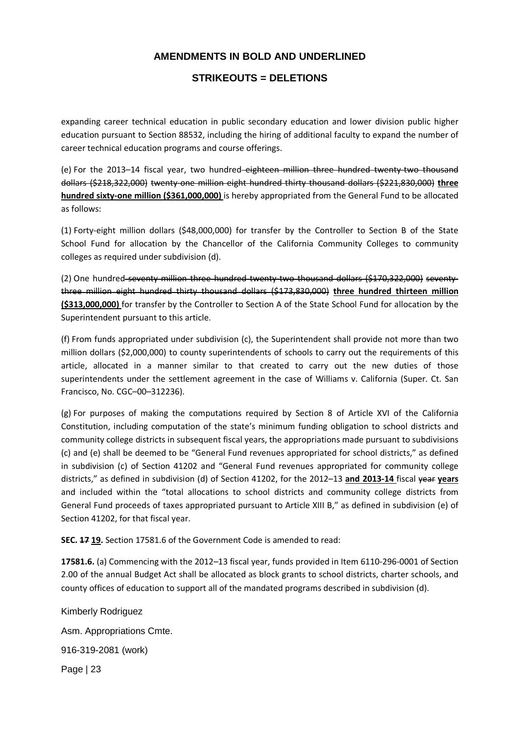### **STRIKEOUTS = DELETIONS**

expanding career technical education in public secondary education and lower division public higher education pursuant to Section 88532, including the hiring of additional faculty to expand the number of career technical education programs and course offerings.

(e) For the 2013–14 fiscal year, two hundred eighteen million three hundred twenty-two thousand dollars (\$218,322,000) twenty-one million eight hundred thirty thousand dollars (\$221,830,000) **three hundred sixty-one million (\$361,000,000)** is hereby appropriated from the General Fund to be allocated as follows:

(1) Forty-eight million dollars (\$48,000,000) for transfer by the Controller to Section B of the State School Fund for allocation by the Chancellor of the California Community Colleges to community colleges as required under subdivision (d).

(2) One hundred-seventy million three hundred twenty two thousand dollars (\$170,322,000) seventythree million eight hundred thirty thousand dollars (\$173,830,000) **three hundred thirteen million (\$313,000,000)** for transfer by the Controller to Section A of the State School Fund for allocation by the Superintendent pursuant to this article.

(f) From funds appropriated under subdivision (c), the Superintendent shall provide not more than two million dollars (\$2,000,000) to county superintendents of schools to carry out the requirements of this article, allocated in a manner similar to that created to carry out the new duties of those superintendents under the settlement agreement in the case of Williams v. California (Super. Ct. San Francisco, No. CGC–00–312236).

(g) For purposes of making the computations required by Section 8 of Article XVI of the California Constitution, including computation of the state's minimum funding obligation to school districts and community college districts in subsequent fiscal years, the appropriations made pursuant to subdivisions (c) and (e) shall be deemed to be "General Fund revenues appropriated for school districts," as defined in subdivision (c) of Section 41202 and "General Fund revenues appropriated for community college districts," as defined in subdivision (d) of Section 41202, for the 2012–13 **and 2013-14** fiscal year **years** and included within the "total allocations to school districts and community college districts from General Fund proceeds of taxes appropriated pursuant to Article XIII B," as defined in subdivision (e) of Section 41202, for that fiscal year.

**SEC. 17 19.** Section 17581.6 of the Government Code is amended to read:

**17581.6.** (a) Commencing with the 2012–13 fiscal year, funds provided in Item 6110-296-0001 of Section 2.00 of the annual Budget Act shall be allocated as block grants to school districts, charter schools, and county offices of education to support all of the mandated programs described in subdivision (d).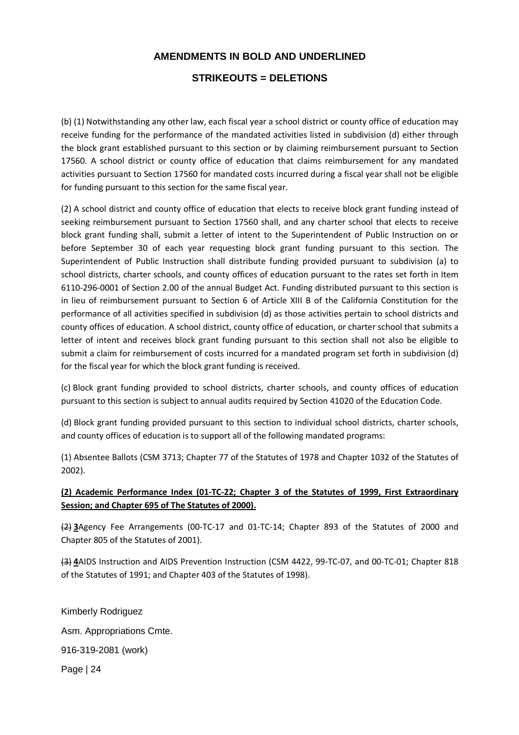### **STRIKEOUTS = DELETIONS**

(b) (1) Notwithstanding any other law, each fiscal year a school district or county office of education may receive funding for the performance of the mandated activities listed in subdivision (d) either through the block grant established pursuant to this section or by claiming reimbursement pursuant to Section 17560. A school district or county office of education that claims reimbursement for any mandated activities pursuant to Section 17560 for mandated costs incurred during a fiscal year shall not be eligible for funding pursuant to this section for the same fiscal year.

(2) A school district and county office of education that elects to receive block grant funding instead of seeking reimbursement pursuant to Section 17560 shall, and any charter school that elects to receive block grant funding shall, submit a letter of intent to the Superintendent of Public Instruction on or before September 30 of each year requesting block grant funding pursuant to this section. The Superintendent of Public Instruction shall distribute funding provided pursuant to subdivision (a) to school districts, charter schools, and county offices of education pursuant to the rates set forth in Item 6110-296-0001 of Section 2.00 of the annual Budget Act. Funding distributed pursuant to this section is in lieu of reimbursement pursuant to Section 6 of Article XIII B of the California Constitution for the performance of all activities specified in subdivision (d) as those activities pertain to school districts and county offices of education. A school district, county office of education, or charter school that submits a letter of intent and receives block grant funding pursuant to this section shall not also be eligible to submit a claim for reimbursement of costs incurred for a mandated program set forth in subdivision (d) for the fiscal year for which the block grant funding is received.

(c) Block grant funding provided to school districts, charter schools, and county offices of education pursuant to this section is subject to annual audits required by Section 41020 of the Education Code.

(d) Block grant funding provided pursuant to this section to individual school districts, charter schools, and county offices of education is to support all of the following mandated programs:

(1) Absentee Ballots (CSM 3713; Chapter 77 of the Statutes of 1978 and Chapter 1032 of the Statutes of 2002).

### **(2) Academic Performance Index (01-TC-22; Chapter 3 of the Statutes of 1999, First Extraordinary Session; and Chapter 695 of The Statutes of 2000).**

(2) **3**Agency Fee Arrangements (00-TC-17 and 01-TC-14; Chapter 893 of the Statutes of 2000 and Chapter 805 of the Statutes of 2001).

(3) **4**AIDS Instruction and AIDS Prevention Instruction (CSM 4422, 99-TC-07, and 00-TC-01; Chapter 818 of the Statutes of 1991; and Chapter 403 of the Statutes of 1998).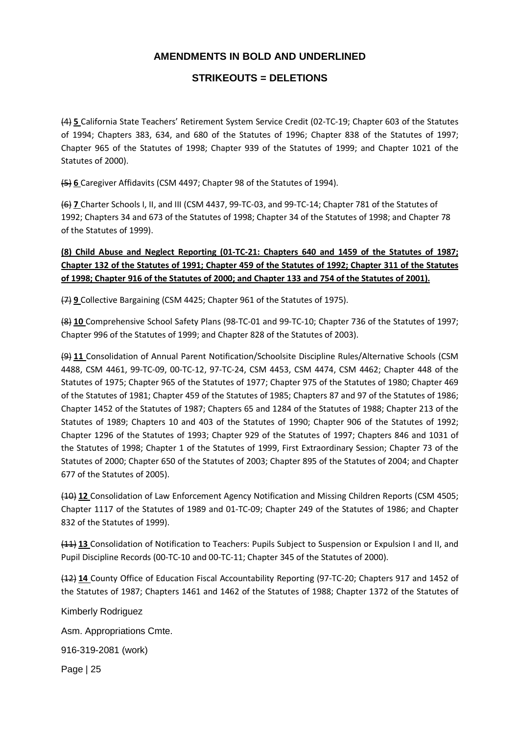# **STRIKEOUTS = DELETIONS**

(4) **5** California State Teachers' Retirement System Service Credit (02-TC-19; Chapter 603 of the Statutes of 1994; Chapters 383, 634, and 680 of the Statutes of 1996; Chapter 838 of the Statutes of 1997; Chapter 965 of the Statutes of 1998; Chapter 939 of the Statutes of 1999; and Chapter 1021 of the Statutes of 2000).

(5) **6** Caregiver Affidavits (CSM 4497; Chapter 98 of the Statutes of 1994).

(6) **7** Charter Schools I, II, and III (CSM 4437, 99-TC-03, and 99-TC-14; Chapter 781 of the Statutes of 1992; Chapters 34 and 673 of the Statutes of 1998; Chapter 34 of the Statutes of 1998; and Chapter 78 of the Statutes of 1999).

# **(8) Child Abuse and Neglect Reporting (01-TC-21: Chapters 640 and 1459 of the Statutes of 1987; Chapter 132 of the Statutes of 1991; Chapter 459 of the Statutes of 1992; Chapter 311 of the Statutes of 1998; Chapter 916 of the Statutes of 2000; and Chapter 133 and 754 of the Statutes of 2001).**

(7) **9** Collective Bargaining (CSM 4425; Chapter 961 of the Statutes of 1975).

(8) **10** Comprehensive School Safety Plans (98-TC-01 and 99-TC-10; Chapter 736 of the Statutes of 1997; Chapter 996 of the Statutes of 1999; and Chapter 828 of the Statutes of 2003).

(9) **11** Consolidation of Annual Parent Notification/Schoolsite Discipline Rules/Alternative Schools (CSM 4488, CSM 4461, 99-TC-09, 00-TC-12, 97-TC-24, CSM 4453, CSM 4474, CSM 4462; Chapter 448 of the Statutes of 1975; Chapter 965 of the Statutes of 1977; Chapter 975 of the Statutes of 1980; Chapter 469 of the Statutes of 1981; Chapter 459 of the Statutes of 1985; Chapters 87 and 97 of the Statutes of 1986; Chapter 1452 of the Statutes of 1987; Chapters 65 and 1284 of the Statutes of 1988; Chapter 213 of the Statutes of 1989; Chapters 10 and 403 of the Statutes of 1990; Chapter 906 of the Statutes of 1992; Chapter 1296 of the Statutes of 1993; Chapter 929 of the Statutes of 1997; Chapters 846 and 1031 of the Statutes of 1998; Chapter 1 of the Statutes of 1999, First Extraordinary Session; Chapter 73 of the Statutes of 2000; Chapter 650 of the Statutes of 2003; Chapter 895 of the Statutes of 2004; and Chapter 677 of the Statutes of 2005).

(10) **12** Consolidation of Law Enforcement Agency Notification and Missing Children Reports (CSM 4505; Chapter 1117 of the Statutes of 1989 and 01-TC-09; Chapter 249 of the Statutes of 1986; and Chapter 832 of the Statutes of 1999).

(11) **13** Consolidation of Notification to Teachers: Pupils Subject to Suspension or Expulsion I and II, and Pupil Discipline Records (00-TC-10 and 00-TC-11; Chapter 345 of the Statutes of 2000).

(12) **14** County Office of Education Fiscal Accountability Reporting (97-TC-20; Chapters 917 and 1452 of the Statutes of 1987; Chapters 1461 and 1462 of the Statutes of 1988; Chapter 1372 of the Statutes of

Kimberly Rodriguez

Asm. Appropriations Cmte.

916-319-2081 (work)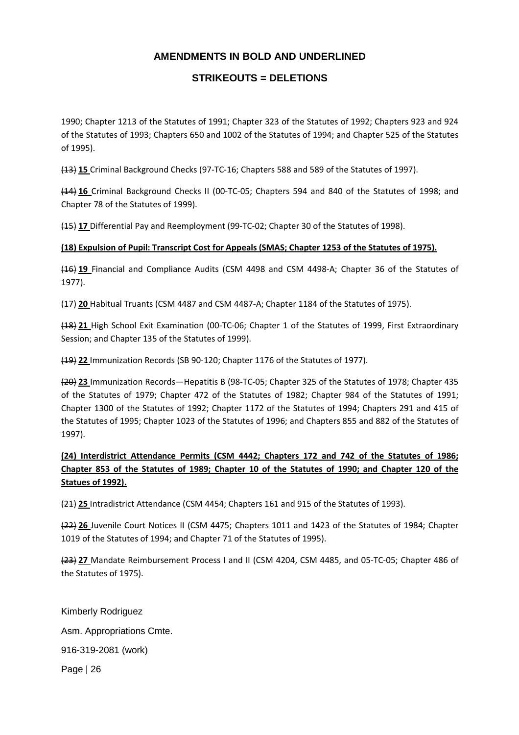# **STRIKEOUTS = DELETIONS**

1990; Chapter 1213 of the Statutes of 1991; Chapter 323 of the Statutes of 1992; Chapters 923 and 924 of the Statutes of 1993; Chapters 650 and 1002 of the Statutes of 1994; and Chapter 525 of the Statutes of 1995).

(13) **15** Criminal Background Checks (97-TC-16; Chapters 588 and 589 of the Statutes of 1997).

(14) **16** Criminal Background Checks II (00-TC-05; Chapters 594 and 840 of the Statutes of 1998; and Chapter 78 of the Statutes of 1999).

(15) **17** Differential Pay and Reemployment (99-TC-02; Chapter 30 of the Statutes of 1998).

### **(18) Expulsion of Pupil: Transcript Cost for Appeals (SMAS; Chapter 1253 of the Statutes of 1975).**

(16) **19** Financial and Compliance Audits (CSM 4498 and CSM 4498-A; Chapter 36 of the Statutes of 1977).

(17) **20** Habitual Truants (CSM 4487 and CSM 4487-A; Chapter 1184 of the Statutes of 1975).

(18) **21** High School Exit Examination (00-TC-06; Chapter 1 of the Statutes of 1999, First Extraordinary Session; and Chapter 135 of the Statutes of 1999).

(19) **22** Immunization Records (SB 90-120; Chapter 1176 of the Statutes of 1977).

(20) **23** Immunization Records—Hepatitis B (98-TC-05; Chapter 325 of the Statutes of 1978; Chapter 435 of the Statutes of 1979; Chapter 472 of the Statutes of 1982; Chapter 984 of the Statutes of 1991; Chapter 1300 of the Statutes of 1992; Chapter 1172 of the Statutes of 1994; Chapters 291 and 415 of the Statutes of 1995; Chapter 1023 of the Statutes of 1996; and Chapters 855 and 882 of the Statutes of 1997).

# **(24) Interdistrict Attendance Permits (CSM 4442; Chapters 172 and 742 of the Statutes of 1986; Chapter 853 of the Statutes of 1989; Chapter 10 of the Statutes of 1990; and Chapter 120 of the Statues of 1992).**

(21) **25** Intradistrict Attendance (CSM 4454; Chapters 161 and 915 of the Statutes of 1993).

(22) **26** Juvenile Court Notices II (CSM 4475; Chapters 1011 and 1423 of the Statutes of 1984; Chapter 1019 of the Statutes of 1994; and Chapter 71 of the Statutes of 1995).

(23) **27** Mandate Reimbursement Process I and II (CSM 4204, CSM 4485, and 05-TC-05; Chapter 486 of the Statutes of 1975).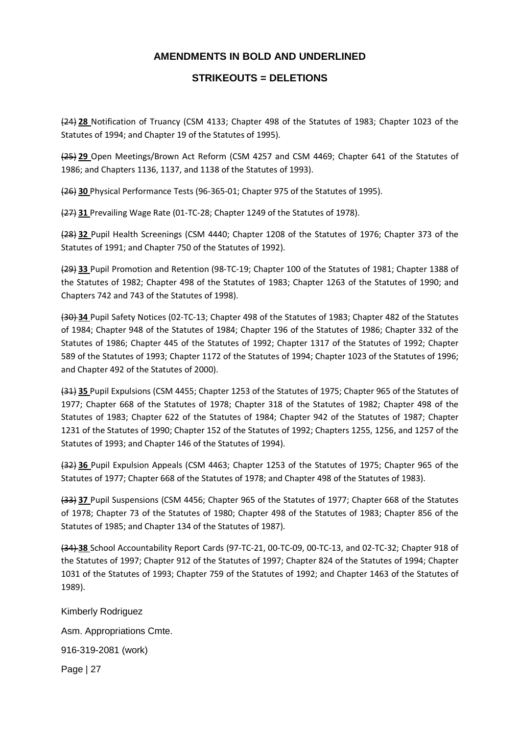## **STRIKEOUTS = DELETIONS**

(24) **28** Notification of Truancy (CSM 4133; Chapter 498 of the Statutes of 1983; Chapter 1023 of the Statutes of 1994; and Chapter 19 of the Statutes of 1995).

(25) **29** Open Meetings/Brown Act Reform (CSM 4257 and CSM 4469; Chapter 641 of the Statutes of 1986; and Chapters 1136, 1137, and 1138 of the Statutes of 1993).

(26) **30** Physical Performance Tests (96-365-01; Chapter 975 of the Statutes of 1995).

(27) **31** Prevailing Wage Rate (01-TC-28; Chapter 1249 of the Statutes of 1978).

(28) **32** Pupil Health Screenings (CSM 4440; Chapter 1208 of the Statutes of 1976; Chapter 373 of the Statutes of 1991; and Chapter 750 of the Statutes of 1992).

(29) **33** Pupil Promotion and Retention (98-TC-19; Chapter 100 of the Statutes of 1981; Chapter 1388 of the Statutes of 1982; Chapter 498 of the Statutes of 1983; Chapter 1263 of the Statutes of 1990; and Chapters 742 and 743 of the Statutes of 1998).

(30) **34** Pupil Safety Notices (02-TC-13; Chapter 498 of the Statutes of 1983; Chapter 482 of the Statutes of 1984; Chapter 948 of the Statutes of 1984; Chapter 196 of the Statutes of 1986; Chapter 332 of the Statutes of 1986; Chapter 445 of the Statutes of 1992; Chapter 1317 of the Statutes of 1992; Chapter 589 of the Statutes of 1993; Chapter 1172 of the Statutes of 1994; Chapter 1023 of the Statutes of 1996; and Chapter 492 of the Statutes of 2000).

(31) **35** Pupil Expulsions (CSM 4455; Chapter 1253 of the Statutes of 1975; Chapter 965 of the Statutes of 1977; Chapter 668 of the Statutes of 1978; Chapter 318 of the Statutes of 1982; Chapter 498 of the Statutes of 1983; Chapter 622 of the Statutes of 1984; Chapter 942 of the Statutes of 1987; Chapter 1231 of the Statutes of 1990; Chapter 152 of the Statutes of 1992; Chapters 1255, 1256, and 1257 of the Statutes of 1993; and Chapter 146 of the Statutes of 1994).

(32) **36** Pupil Expulsion Appeals (CSM 4463; Chapter 1253 of the Statutes of 1975; Chapter 965 of the Statutes of 1977; Chapter 668 of the Statutes of 1978; and Chapter 498 of the Statutes of 1983).

(33) **37** Pupil Suspensions (CSM 4456; Chapter 965 of the Statutes of 1977; Chapter 668 of the Statutes of 1978; Chapter 73 of the Statutes of 1980; Chapter 498 of the Statutes of 1983; Chapter 856 of the Statutes of 1985; and Chapter 134 of the Statutes of 1987).

(34) **38** School Accountability Report Cards (97-TC-21, 00-TC-09, 00-TC-13, and 02-TC-32; Chapter 918 of the Statutes of 1997; Chapter 912 of the Statutes of 1997; Chapter 824 of the Statutes of 1994; Chapter 1031 of the Statutes of 1993; Chapter 759 of the Statutes of 1992; and Chapter 1463 of the Statutes of 1989).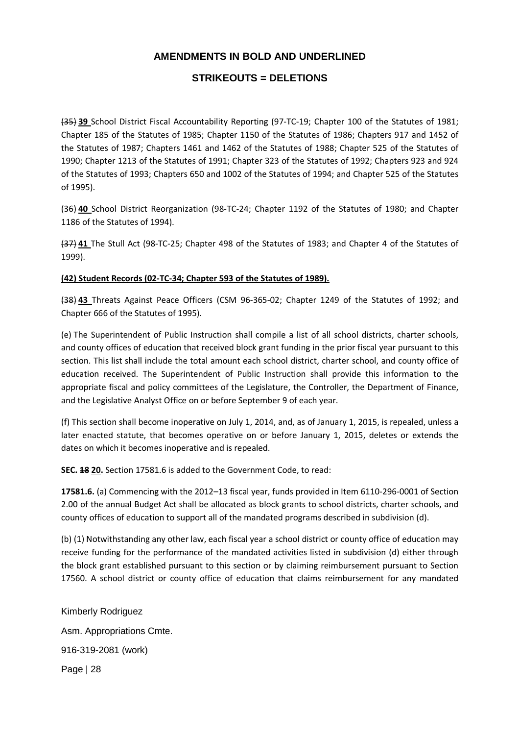# **STRIKEOUTS = DELETIONS**

(35) **39** School District Fiscal Accountability Reporting (97-TC-19; Chapter 100 of the Statutes of 1981; Chapter 185 of the Statutes of 1985; Chapter 1150 of the Statutes of 1986; Chapters 917 and 1452 of the Statutes of 1987; Chapters 1461 and 1462 of the Statutes of 1988; Chapter 525 of the Statutes of 1990; Chapter 1213 of the Statutes of 1991; Chapter 323 of the Statutes of 1992; Chapters 923 and 924 of the Statutes of 1993; Chapters 650 and 1002 of the Statutes of 1994; and Chapter 525 of the Statutes of 1995).

(36) **40** School District Reorganization (98-TC-24; Chapter 1192 of the Statutes of 1980; and Chapter 1186 of the Statutes of 1994).

(37) **41** The Stull Act (98-TC-25; Chapter 498 of the Statutes of 1983; and Chapter 4 of the Statutes of 1999).

#### **(42) Student Records (02-TC-34; Chapter 593 of the Statutes of 1989).**

(38) **43** Threats Against Peace Officers (CSM 96-365-02; Chapter 1249 of the Statutes of 1992; and Chapter 666 of the Statutes of 1995).

(e) The Superintendent of Public Instruction shall compile a list of all school districts, charter schools, and county offices of education that received block grant funding in the prior fiscal year pursuant to this section. This list shall include the total amount each school district, charter school, and county office of education received. The Superintendent of Public Instruction shall provide this information to the appropriate fiscal and policy committees of the Legislature, the Controller, the Department of Finance, and the Legislative Analyst Office on or before September 9 of each year.

(f) This section shall become inoperative on July 1, 2014, and, as of January 1, 2015, is repealed, unless a later enacted statute, that becomes operative on or before January 1, 2015, deletes or extends the dates on which it becomes inoperative and is repealed.

**SEC. 18 20.** Section 17581.6 is added to the Government Code, to read:

**17581.6.** (a) Commencing with the 2012–13 fiscal year, funds provided in Item 6110-296-0001 of Section 2.00 of the annual Budget Act shall be allocated as block grants to school districts, charter schools, and county offices of education to support all of the mandated programs described in subdivision (d).

(b) (1) Notwithstanding any other law, each fiscal year a school district or county office of education may receive funding for the performance of the mandated activities listed in subdivision (d) either through the block grant established pursuant to this section or by claiming reimbursement pursuant to Section 17560. A school district or county office of education that claims reimbursement for any mandated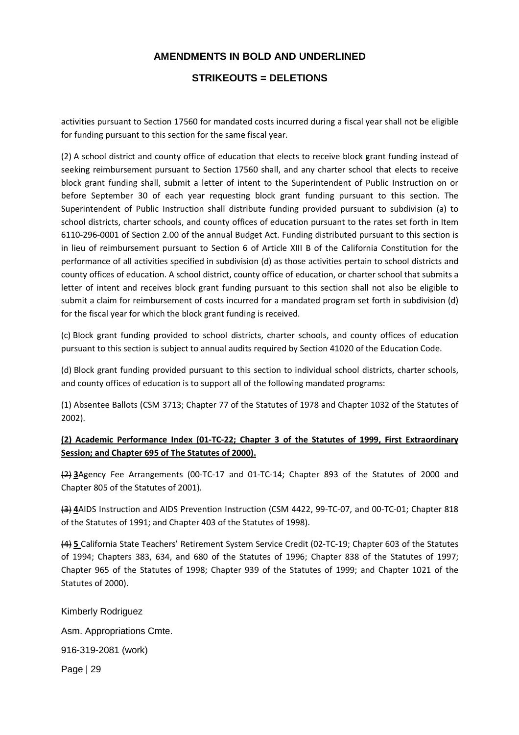### **STRIKEOUTS = DELETIONS**

activities pursuant to Section 17560 for mandated costs incurred during a fiscal year shall not be eligible for funding pursuant to this section for the same fiscal year.

(2) A school district and county office of education that elects to receive block grant funding instead of seeking reimbursement pursuant to Section 17560 shall, and any charter school that elects to receive block grant funding shall, submit a letter of intent to the Superintendent of Public Instruction on or before September 30 of each year requesting block grant funding pursuant to this section. The Superintendent of Public Instruction shall distribute funding provided pursuant to subdivision (a) to school districts, charter schools, and county offices of education pursuant to the rates set forth in Item 6110-296-0001 of Section 2.00 of the annual Budget Act. Funding distributed pursuant to this section is in lieu of reimbursement pursuant to Section 6 of Article XIII B of the California Constitution for the performance of all activities specified in subdivision (d) as those activities pertain to school districts and county offices of education. A school district, county office of education, or charter school that submits a letter of intent and receives block grant funding pursuant to this section shall not also be eligible to submit a claim for reimbursement of costs incurred for a mandated program set forth in subdivision (d) for the fiscal year for which the block grant funding is received.

(c) Block grant funding provided to school districts, charter schools, and county offices of education pursuant to this section is subject to annual audits required by Section 41020 of the Education Code.

(d) Block grant funding provided pursuant to this section to individual school districts, charter schools, and county offices of education is to support all of the following mandated programs:

(1) Absentee Ballots (CSM 3713; Chapter 77 of the Statutes of 1978 and Chapter 1032 of the Statutes of 2002).

### **(2) Academic Performance Index (01-TC-22; Chapter 3 of the Statutes of 1999, First Extraordinary Session; and Chapter 695 of The Statutes of 2000).**

(2) **3**Agency Fee Arrangements (00-TC-17 and 01-TC-14; Chapter 893 of the Statutes of 2000 and Chapter 805 of the Statutes of 2001).

(3) **4**AIDS Instruction and AIDS Prevention Instruction (CSM 4422, 99-TC-07, and 00-TC-01; Chapter 818 of the Statutes of 1991; and Chapter 403 of the Statutes of 1998).

(4) **5** California State Teachers' Retirement System Service Credit (02-TC-19; Chapter 603 of the Statutes of 1994; Chapters 383, 634, and 680 of the Statutes of 1996; Chapter 838 of the Statutes of 1997; Chapter 965 of the Statutes of 1998; Chapter 939 of the Statutes of 1999; and Chapter 1021 of the Statutes of 2000).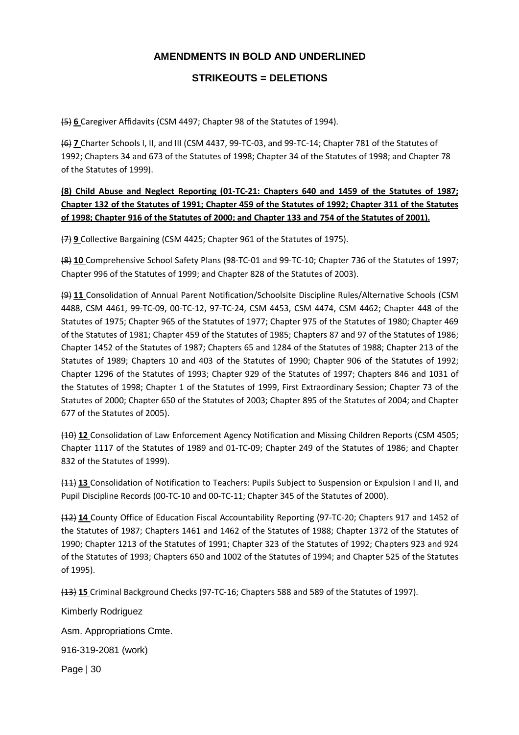# **STRIKEOUTS = DELETIONS**

(5) **6** Caregiver Affidavits (CSM 4497; Chapter 98 of the Statutes of 1994).

(6) **7** Charter Schools I, II, and III (CSM 4437, 99-TC-03, and 99-TC-14; Chapter 781 of the Statutes of 1992; Chapters 34 and 673 of the Statutes of 1998; Chapter 34 of the Statutes of 1998; and Chapter 78 of the Statutes of 1999).

**(8) Child Abuse and Neglect Reporting (01-TC-21: Chapters 640 and 1459 of the Statutes of 1987; Chapter 132 of the Statutes of 1991; Chapter 459 of the Statutes of 1992; Chapter 311 of the Statutes of 1998; Chapter 916 of the Statutes of 2000; and Chapter 133 and 754 of the Statutes of 2001).** 

(7) **9** Collective Bargaining (CSM 4425; Chapter 961 of the Statutes of 1975).

(8) **10** Comprehensive School Safety Plans (98-TC-01 and 99-TC-10; Chapter 736 of the Statutes of 1997; Chapter 996 of the Statutes of 1999; and Chapter 828 of the Statutes of 2003).

(9) **11** Consolidation of Annual Parent Notification/Schoolsite Discipline Rules/Alternative Schools (CSM 4488, CSM 4461, 99-TC-09, 00-TC-12, 97-TC-24, CSM 4453, CSM 4474, CSM 4462; Chapter 448 of the Statutes of 1975; Chapter 965 of the Statutes of 1977; Chapter 975 of the Statutes of 1980; Chapter 469 of the Statutes of 1981; Chapter 459 of the Statutes of 1985; Chapters 87 and 97 of the Statutes of 1986; Chapter 1452 of the Statutes of 1987; Chapters 65 and 1284 of the Statutes of 1988; Chapter 213 of the Statutes of 1989; Chapters 10 and 403 of the Statutes of 1990; Chapter 906 of the Statutes of 1992; Chapter 1296 of the Statutes of 1993; Chapter 929 of the Statutes of 1997; Chapters 846 and 1031 of the Statutes of 1998; Chapter 1 of the Statutes of 1999, First Extraordinary Session; Chapter 73 of the Statutes of 2000; Chapter 650 of the Statutes of 2003; Chapter 895 of the Statutes of 2004; and Chapter 677 of the Statutes of 2005).

(10) **12** Consolidation of Law Enforcement Agency Notification and Missing Children Reports (CSM 4505; Chapter 1117 of the Statutes of 1989 and 01-TC-09; Chapter 249 of the Statutes of 1986; and Chapter 832 of the Statutes of 1999).

(11) **13** Consolidation of Notification to Teachers: Pupils Subject to Suspension or Expulsion I and II, and Pupil Discipline Records (00-TC-10 and 00-TC-11; Chapter 345 of the Statutes of 2000).

(12) **14** County Office of Education Fiscal Accountability Reporting (97-TC-20; Chapters 917 and 1452 of the Statutes of 1987; Chapters 1461 and 1462 of the Statutes of 1988; Chapter 1372 of the Statutes of 1990; Chapter 1213 of the Statutes of 1991; Chapter 323 of the Statutes of 1992; Chapters 923 and 924 of the Statutes of 1993; Chapters 650 and 1002 of the Statutes of 1994; and Chapter 525 of the Statutes of 1995).

(13) **15** Criminal Background Checks (97-TC-16; Chapters 588 and 589 of the Statutes of 1997).

Kimberly Rodriguez Asm. Appropriations Cmte.

916-319-2081 (work)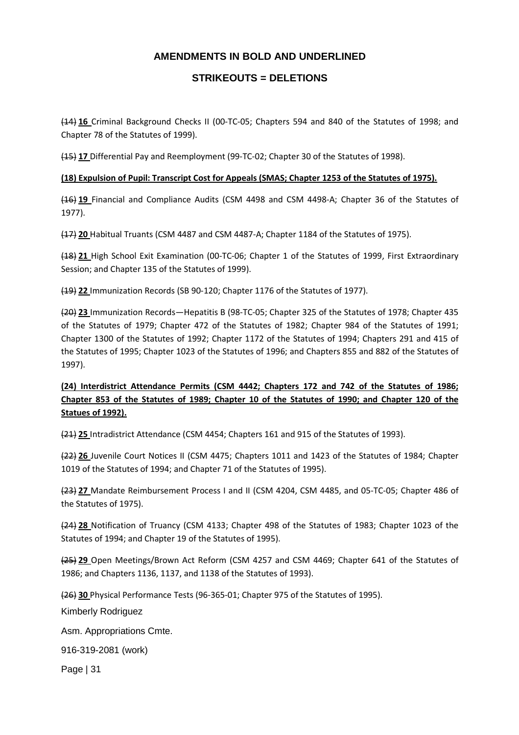# **STRIKEOUTS = DELETIONS**

(14) **16** Criminal Background Checks II (00-TC-05; Chapters 594 and 840 of the Statutes of 1998; and Chapter 78 of the Statutes of 1999).

(15) **17** Differential Pay and Reemployment (99-TC-02; Chapter 30 of the Statutes of 1998).

#### **(18) Expulsion of Pupil: Transcript Cost for Appeals (SMAS; Chapter 1253 of the Statutes of 1975).**

(16) **19** Financial and Compliance Audits (CSM 4498 and CSM 4498-A; Chapter 36 of the Statutes of 1977).

(17) **20** Habitual Truants (CSM 4487 and CSM 4487-A; Chapter 1184 of the Statutes of 1975).

(18) **21** High School Exit Examination (00-TC-06; Chapter 1 of the Statutes of 1999, First Extraordinary Session; and Chapter 135 of the Statutes of 1999).

(19) **22** Immunization Records (SB 90-120; Chapter 1176 of the Statutes of 1977).

(20) **23** Immunization Records—Hepatitis B (98-TC-05; Chapter 325 of the Statutes of 1978; Chapter 435 of the Statutes of 1979; Chapter 472 of the Statutes of 1982; Chapter 984 of the Statutes of 1991; Chapter 1300 of the Statutes of 1992; Chapter 1172 of the Statutes of 1994; Chapters 291 and 415 of the Statutes of 1995; Chapter 1023 of the Statutes of 1996; and Chapters 855 and 882 of the Statutes of 1997).

# **(24) Interdistrict Attendance Permits (CSM 4442; Chapters 172 and 742 of the Statutes of 1986; Chapter 853 of the Statutes of 1989; Chapter 10 of the Statutes of 1990; and Chapter 120 of the Statues of 1992).**

(21) **25** Intradistrict Attendance (CSM 4454; Chapters 161 and 915 of the Statutes of 1993).

(22) **26** Juvenile Court Notices II (CSM 4475; Chapters 1011 and 1423 of the Statutes of 1984; Chapter 1019 of the Statutes of 1994; and Chapter 71 of the Statutes of 1995).

(23) **27** Mandate Reimbursement Process I and II (CSM 4204, CSM 4485, and 05-TC-05; Chapter 486 of the Statutes of 1975).

(24) **28** Notification of Truancy (CSM 4133; Chapter 498 of the Statutes of 1983; Chapter 1023 of the Statutes of 1994; and Chapter 19 of the Statutes of 1995).

(25) **29** Open Meetings/Brown Act Reform (CSM 4257 and CSM 4469; Chapter 641 of the Statutes of 1986; and Chapters 1136, 1137, and 1138 of the Statutes of 1993).

(26) **30** Physical Performance Tests (96-365-01; Chapter 975 of the Statutes of 1995).

Kimberly Rodriguez

Asm. Appropriations Cmte.

916-319-2081 (work)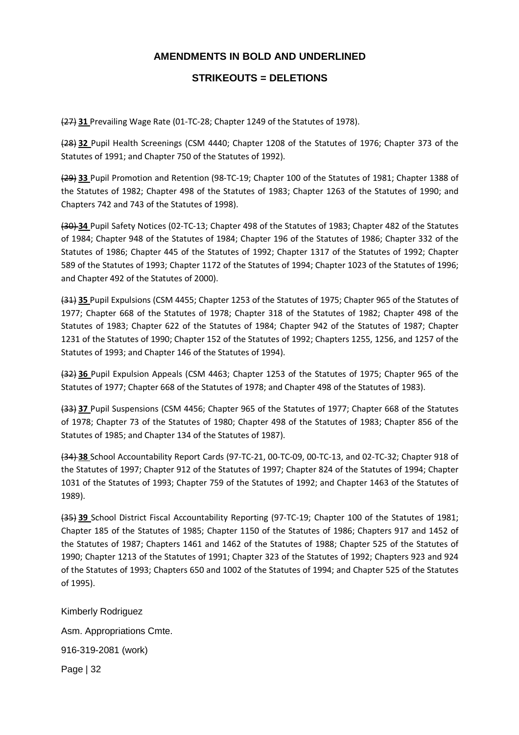## **STRIKEOUTS = DELETIONS**

(27) **31** Prevailing Wage Rate (01-TC-28; Chapter 1249 of the Statutes of 1978).

(28) **32** Pupil Health Screenings (CSM 4440; Chapter 1208 of the Statutes of 1976; Chapter 373 of the Statutes of 1991; and Chapter 750 of the Statutes of 1992).

(29) **33** Pupil Promotion and Retention (98-TC-19; Chapter 100 of the Statutes of 1981; Chapter 1388 of the Statutes of 1982; Chapter 498 of the Statutes of 1983; Chapter 1263 of the Statutes of 1990; and Chapters 742 and 743 of the Statutes of 1998).

(30) **34** Pupil Safety Notices (02-TC-13; Chapter 498 of the Statutes of 1983; Chapter 482 of the Statutes of 1984; Chapter 948 of the Statutes of 1984; Chapter 196 of the Statutes of 1986; Chapter 332 of the Statutes of 1986; Chapter 445 of the Statutes of 1992; Chapter 1317 of the Statutes of 1992; Chapter 589 of the Statutes of 1993; Chapter 1172 of the Statutes of 1994; Chapter 1023 of the Statutes of 1996; and Chapter 492 of the Statutes of 2000).

(31) **35** Pupil Expulsions (CSM 4455; Chapter 1253 of the Statutes of 1975; Chapter 965 of the Statutes of 1977; Chapter 668 of the Statutes of 1978; Chapter 318 of the Statutes of 1982; Chapter 498 of the Statutes of 1983; Chapter 622 of the Statutes of 1984; Chapter 942 of the Statutes of 1987; Chapter 1231 of the Statutes of 1990; Chapter 152 of the Statutes of 1992; Chapters 1255, 1256, and 1257 of the Statutes of 1993; and Chapter 146 of the Statutes of 1994).

(32) **36** Pupil Expulsion Appeals (CSM 4463; Chapter 1253 of the Statutes of 1975; Chapter 965 of the Statutes of 1977; Chapter 668 of the Statutes of 1978; and Chapter 498 of the Statutes of 1983).

(33) **37** Pupil Suspensions (CSM 4456; Chapter 965 of the Statutes of 1977; Chapter 668 of the Statutes of 1978; Chapter 73 of the Statutes of 1980; Chapter 498 of the Statutes of 1983; Chapter 856 of the Statutes of 1985; and Chapter 134 of the Statutes of 1987).

(34) **38** School Accountability Report Cards (97-TC-21, 00-TC-09, 00-TC-13, and 02-TC-32; Chapter 918 of the Statutes of 1997; Chapter 912 of the Statutes of 1997; Chapter 824 of the Statutes of 1994; Chapter 1031 of the Statutes of 1993; Chapter 759 of the Statutes of 1992; and Chapter 1463 of the Statutes of 1989).

(35) **39** School District Fiscal Accountability Reporting (97-TC-19; Chapter 100 of the Statutes of 1981; Chapter 185 of the Statutes of 1985; Chapter 1150 of the Statutes of 1986; Chapters 917 and 1452 of the Statutes of 1987; Chapters 1461 and 1462 of the Statutes of 1988; Chapter 525 of the Statutes of 1990; Chapter 1213 of the Statutes of 1991; Chapter 323 of the Statutes of 1992; Chapters 923 and 924 of the Statutes of 1993; Chapters 650 and 1002 of the Statutes of 1994; and Chapter 525 of the Statutes of 1995).